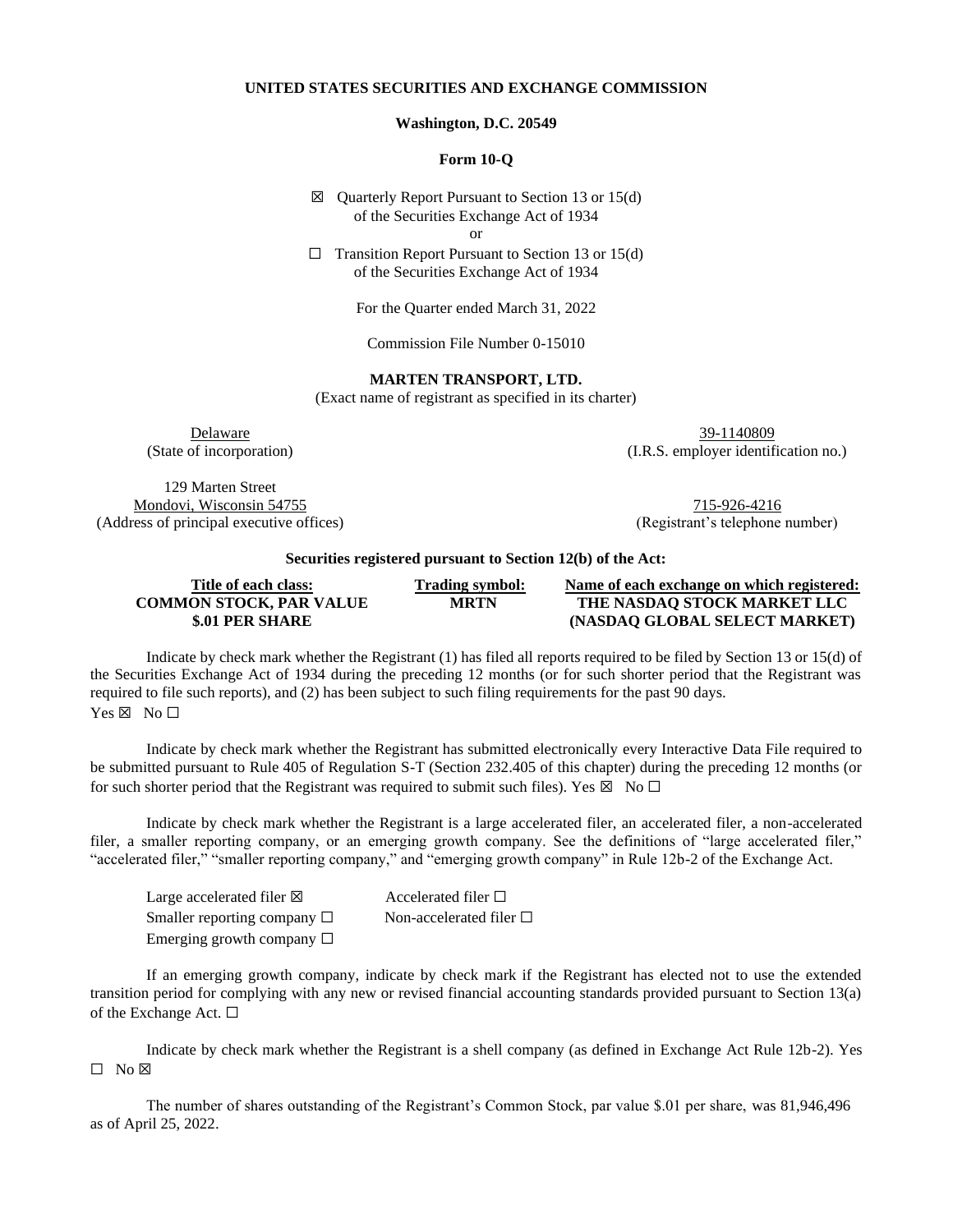# **UNITED STATES SECURITIES AND EXCHANGE COMMISSION**

**Washington, D.C. 20549**

#### **Form 10-Q**

 $\boxtimes$  Quarterly Report Pursuant to Section 13 or 15(d) of the Securities Exchange Act of 1934

or

 $\Box$  Transition Report Pursuant to Section 13 or 15(d) of the Securities Exchange Act of 1934

For the Quarter ended March 31, 2022

Commission File Number 0-15010

# **MARTEN TRANSPORT, LTD.**

(Exact name of registrant as specified in its charter)

Delaware 39-1140809 (State of incorporation) (I.R.S. employer identification no.)

129 Marten Street Mondovi, Wisconsin 54755 715-926-4216 (Address of principal executive offices) (Registrant's telephone number)

#### **Securities registered pursuant to Section 12(b) of the Act:**

| Title of each class:           | <b>Trading symbol:</b> | Name of each exchange on which registered: |
|--------------------------------|------------------------|--------------------------------------------|
| <b>COMMON STOCK, PAR VALUE</b> | <b>MRTN</b>            | THE NASDAQ STOCK MARKET LLC                |
| <b>\$.01 PER SHARE</b>         |                        | (NASDAQ GLOBAL SELECT MARKET)              |

Indicate by check mark whether the Registrant (1) has filed all reports required to be filed by Section 13 or 15(d) of the Securities Exchange Act of 1934 during the preceding 12 months (or for such shorter period that the Registrant was required to file such reports), and (2) has been subject to such filing requirements for the past 90 days.  $Yes \boxtimes No \Box$ 

Indicate by check mark whether the Registrant has submitted electronically every Interactive Data File required to be submitted pursuant to Rule 405 of Regulation S-T (Section 232.405 of this chapter) during the preceding 12 months (or for such shorter period that the Registrant was required to submit such files). Yes  $\boxtimes \text{ No } \square$ 

Indicate by check mark whether the Registrant is a large accelerated filer, an accelerated filer, a non-accelerated filer, a smaller reporting company, or an emerging growth company. See the definitions of "large accelerated filer," "accelerated filer," "smaller reporting company," and "emerging growth company" in Rule 12b-2 of the Exchange Act.

| Large accelerated filer $\boxtimes$ | Accelerated filer $\Box$     |
|-------------------------------------|------------------------------|
| Smaller reporting company $\square$ | Non-accelerated filer $\Box$ |
| Emerging growth company $\square$   |                              |

If an emerging growth company, indicate by check mark if the Registrant has elected not to use the extended transition period for complying with any new or revised financial accounting standards provided pursuant to Section 13(a) of the Exchange Act.  $\square$ 

Indicate by check mark whether the Registrant is a shell company (as defined in Exchange Act Rule 12b-2). Yes  $\Box$  No  $\boxtimes$ 

The number of shares outstanding of the Registrant's Common Stock, par value \$.01 per share, was 81,946,496 as of April 25, 2022.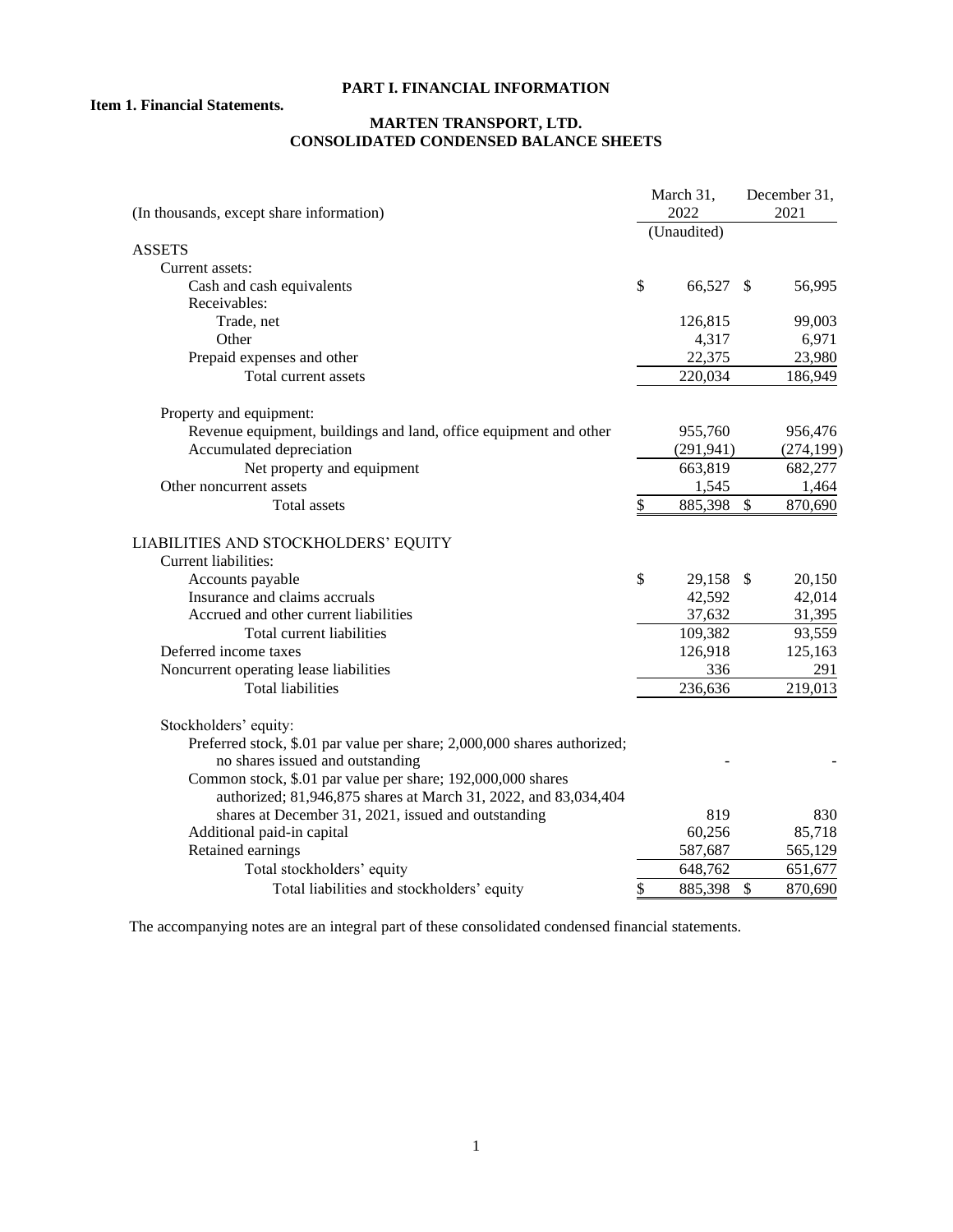# **PART I. FINANCIAL INFORMATION**

# **Item 1. Financial Statements.**

# **MARTEN TRANSPORT, LTD. CONSOLIDATED CONDENSED BALANCE SHEETS**

| (In thousands, except share information)                                 | March 31,<br>2022 |              | December 31,<br>2021 |
|--------------------------------------------------------------------------|-------------------|--------------|----------------------|
|                                                                          | (Unaudited)       |              |                      |
| <b>ASSETS</b>                                                            |                   |              |                      |
| Current assets:                                                          |                   |              |                      |
| Cash and cash equivalents                                                | \$<br>66,527 \$   |              | 56,995               |
| Receivables:                                                             |                   |              |                      |
| Trade, net                                                               | 126,815           |              | 99,003               |
| Other                                                                    | 4,317             |              | 6,971                |
| Prepaid expenses and other                                               | 22,375            |              | 23,980               |
| Total current assets                                                     | 220,034           |              | 186,949              |
| Property and equipment:                                                  |                   |              |                      |
| Revenue equipment, buildings and land, office equipment and other        | 955,760           |              | 956,476              |
| Accumulated depreciation                                                 | (291, 941)        |              | (274, 199)           |
| Net property and equipment                                               | 663,819           |              | 682,277              |
| Other noncurrent assets                                                  | 1,545             |              | 1,464                |
| <b>Total</b> assets                                                      | \$<br>885,398     | $\mathbb{S}$ | 870,690              |
| LIABILITIES AND STOCKHOLDERS' EQUITY                                     |                   |              |                      |
| Current liabilities:                                                     |                   |              |                      |
| Accounts payable                                                         | \$<br>29,158 \$   |              | 20,150               |
| Insurance and claims accruals                                            | 42,592            |              | 42,014               |
| Accrued and other current liabilities                                    | 37,632            |              | 31,395               |
| Total current liabilities                                                | 109,382           |              | 93,559               |
| Deferred income taxes                                                    | 126,918           |              | 125,163              |
| Noncurrent operating lease liabilities                                   | 336               |              | 291                  |
| <b>Total liabilities</b>                                                 | 236,636           |              | 219,013              |
|                                                                          |                   |              |                      |
| Stockholders' equity:                                                    |                   |              |                      |
| Preferred stock, \$.01 par value per share; 2,000,000 shares authorized; |                   |              |                      |
| no shares issued and outstanding                                         |                   |              |                      |
| Common stock, \$.01 par value per share; 192,000,000 shares              |                   |              |                      |
| authorized; 81,946,875 shares at March 31, 2022, and 83,034,404          |                   |              |                      |
| shares at December 31, 2021, issued and outstanding                      | 819<br>60,256     |              | 830                  |
| Additional paid-in capital                                               |                   |              | 85,718               |
| Retained earnings                                                        | 587,687           |              | 565,129              |
| Total stockholders' equity                                               | 648,762           |              | 651,677              |
| Total liabilities and stockholders' equity                               | \$<br>885,398     | $\mathbb{S}$ | 870,690              |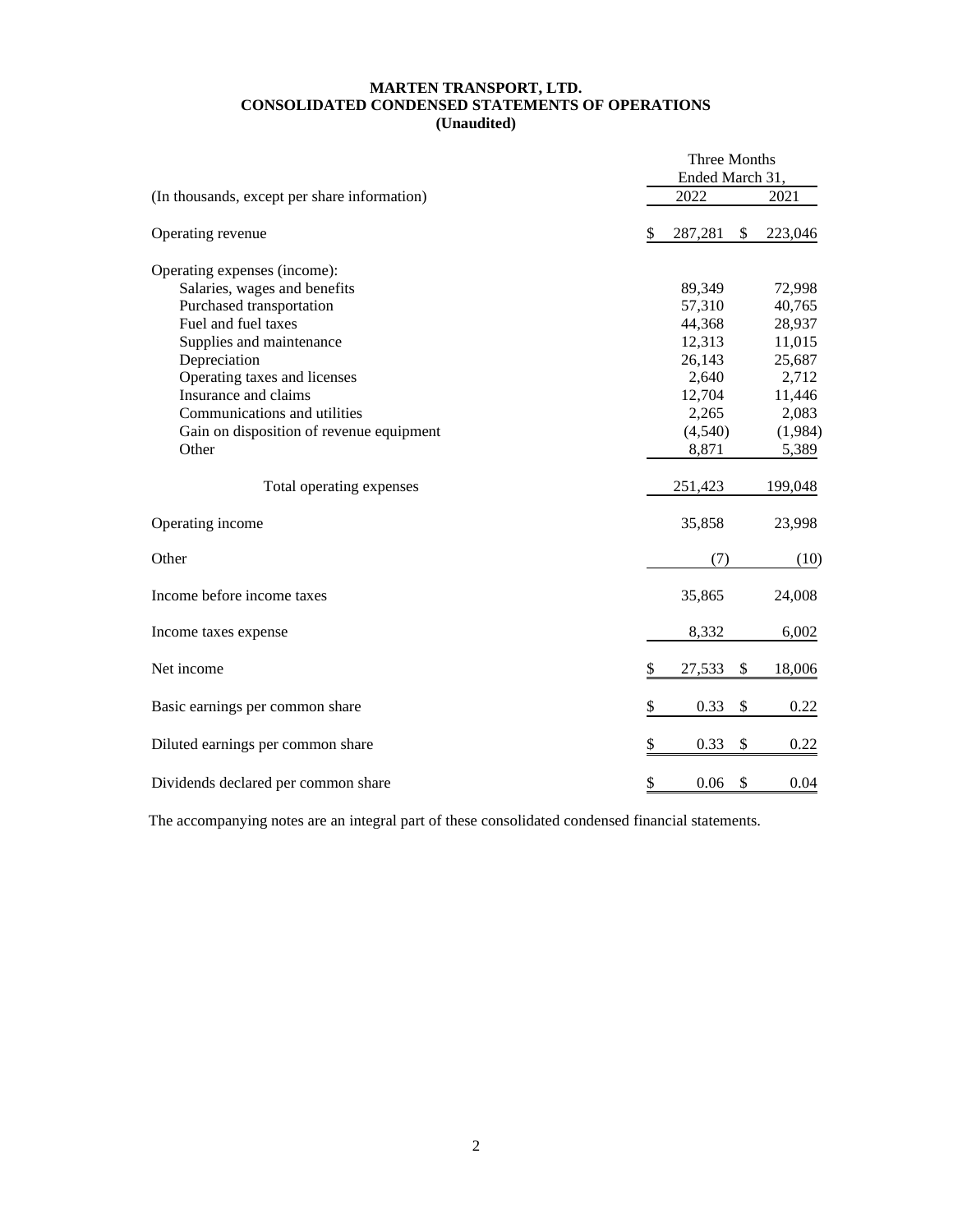# **MARTEN TRANSPORT, LTD. CONSOLIDATED CONDENSED STATEMENTS OF OPERATIONS (Unaudited)**

|                                              |    | Three Months    |               |
|----------------------------------------------|----|-----------------|---------------|
|                                              |    | Ended March 31, |               |
| (In thousands, except per share information) |    | 2022            | 2021          |
| Operating revenue                            | S  | 287,281         | \$<br>223,046 |
| Operating expenses (income):                 |    |                 |               |
| Salaries, wages and benefits                 |    | 89,349          | 72,998        |
| Purchased transportation                     |    | 57,310          | 40,765        |
| Fuel and fuel taxes                          |    | 44,368          | 28,937        |
| Supplies and maintenance                     |    | 12,313          | 11,015        |
| Depreciation                                 |    | 26,143          | 25,687        |
| Operating taxes and licenses                 |    | 2,640           | 2,712         |
| Insurance and claims                         |    | 12,704          | 11,446        |
| Communications and utilities                 |    | 2,265           | 2,083         |
| Gain on disposition of revenue equipment     |    | (4,540)         | (1,984)       |
| Other                                        |    | 8,871           | 5,389         |
| Total operating expenses                     |    | 251,423         | 199,048       |
| Operating income                             |    | 35,858          | 23,998        |
| Other                                        |    | (7)             | (10)          |
| Income before income taxes                   |    | 35,865          | 24,008        |
| Income taxes expense                         |    | 8,332           | 6,002         |
| Net income                                   | \$ | 27,533          | \$<br>18,006  |
| Basic earnings per common share              | \$ | 0.33            | \$<br>0.22    |
| Diluted earnings per common share            | \$ | 0.33            | \$<br>0.22    |
| Dividends declared per common share          | \$ | 0.06            | \$<br>0.04    |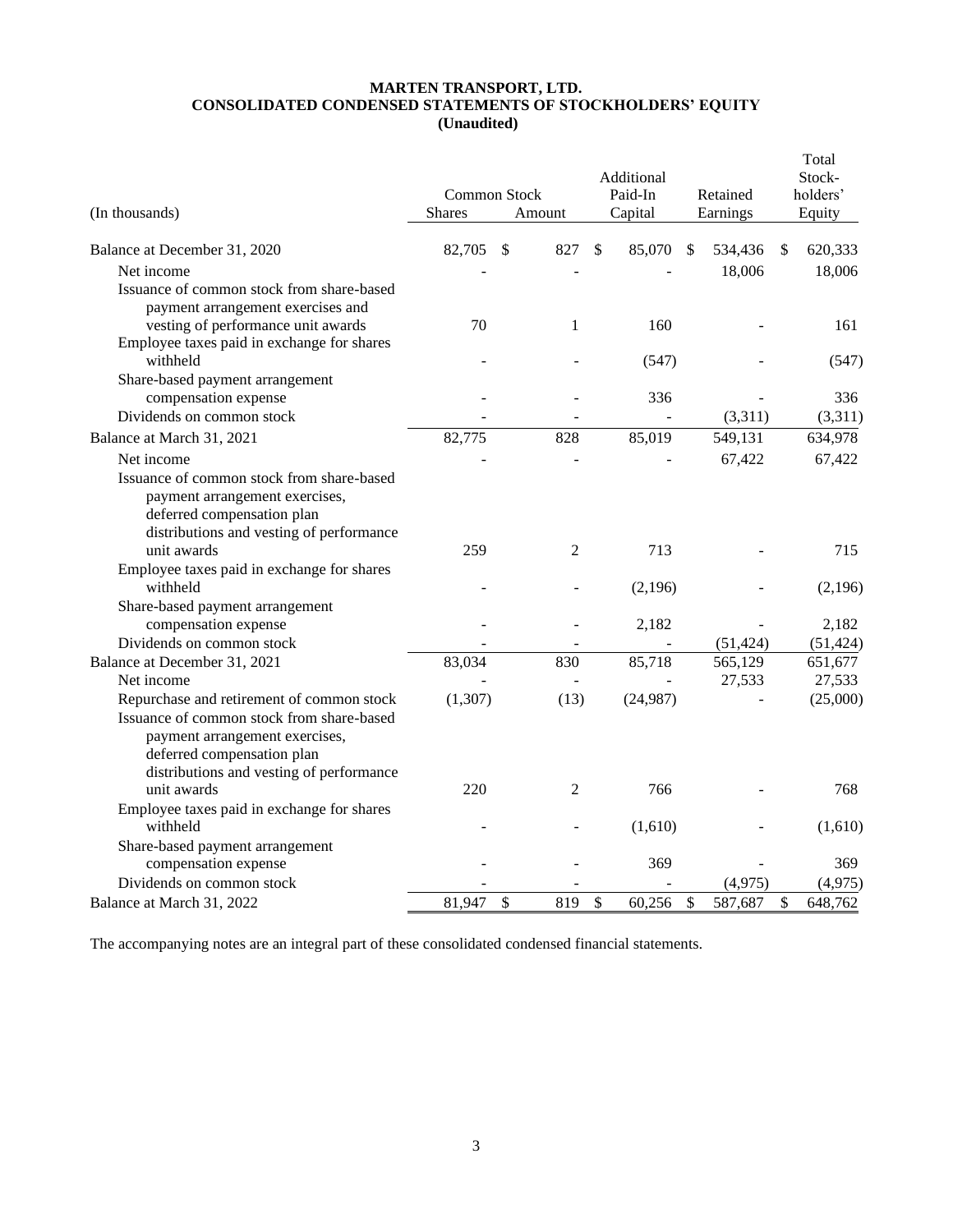## **MARTEN TRANSPORT, LTD. CONSOLIDATED CONDENSED STATEMENTS OF STOCKHOLDERS' EQUITY (Unaudited)**

|                                                                                                                                                       | Common Stock | Additional<br>Paid-In |                | Retained        |       | Total<br>Stock-<br>holders' |           |    |           |
|-------------------------------------------------------------------------------------------------------------------------------------------------------|--------------|-----------------------|----------------|-----------------|-------|-----------------------------|-----------|----|-----------|
| (In thousands)                                                                                                                                        | Shares       | Amount                |                | Capital         |       |                             | Earnings  |    | Equity    |
| Balance at December 31, 2020                                                                                                                          | 82,705 \$    |                       | 827            | \$<br>85,070 \$ |       |                             | 534,436   | \$ | 620,333   |
| Net income                                                                                                                                            |              |                       |                |                 |       |                             | 18,006    |    | 18,006    |
| Issuance of common stock from share-based<br>payment arrangement exercises and                                                                        |              |                       |                |                 |       |                             |           |    |           |
| vesting of performance unit awards                                                                                                                    | 70           |                       | 1              |                 | 160   |                             |           |    | 161       |
| Employee taxes paid in exchange for shares<br>withheld                                                                                                |              |                       |                |                 | (547) |                             |           |    | (547)     |
| Share-based payment arrangement                                                                                                                       |              |                       |                |                 |       |                             |           |    |           |
| compensation expense                                                                                                                                  |              |                       |                |                 | 336   |                             |           |    | 336       |
| Dividends on common stock                                                                                                                             |              |                       |                |                 |       |                             | (3,311)   |    | (3,311)   |
| Balance at March 31, 2021                                                                                                                             | 82,775       |                       | 828            | 85,019          |       |                             | 549,131   |    | 634,978   |
| Net income                                                                                                                                            |              |                       |                |                 |       |                             | 67,422    |    | 67,422    |
| Issuance of common stock from share-based<br>payment arrangement exercises,<br>deferred compensation plan<br>distributions and vesting of performance |              |                       |                |                 |       |                             |           |    |           |
| unit awards                                                                                                                                           | 259          |                       | 2              |                 | 713   |                             |           |    | 715       |
| Employee taxes paid in exchange for shares<br>withheld                                                                                                |              |                       |                | (2,196)         |       |                             |           |    | (2,196)   |
| Share-based payment arrangement                                                                                                                       |              |                       |                |                 |       |                             |           |    |           |
| compensation expense                                                                                                                                  |              |                       |                | 2,182           |       |                             |           |    | 2,182     |
| Dividends on common stock                                                                                                                             |              |                       |                |                 |       |                             | (51, 424) |    | (51, 424) |
| Balance at December 31, 2021                                                                                                                          | 83,034       |                       | 830            | 85,718          |       |                             | 565,129   |    | 651,677   |
| Net income                                                                                                                                            |              |                       | $\overline{a}$ |                 |       |                             | 27,533    |    | 27,533    |
| Repurchase and retirement of common stock                                                                                                             | (1,307)      |                       | (13)           | (24,987)        |       |                             |           |    | (25,000)  |
| Issuance of common stock from share-based<br>payment arrangement exercises,<br>deferred compensation plan<br>distributions and vesting of performance |              |                       |                |                 |       |                             |           |    |           |
| unit awards<br>Employee taxes paid in exchange for shares                                                                                             | 220          |                       | 2              |                 | 766   |                             |           |    | 768       |
| withheld                                                                                                                                              |              |                       |                | (1,610)         |       |                             |           |    | (1,610)   |
| Share-based payment arrangement                                                                                                                       |              |                       |                |                 |       |                             |           |    |           |
| compensation expense                                                                                                                                  |              |                       |                |                 | 369   |                             |           |    | 369       |
| Dividends on common stock                                                                                                                             |              |                       |                |                 |       |                             | (4,975)   |    | (4,975)   |
| Balance at March 31, 2022                                                                                                                             | 81,947       | \$                    | 819            | \$<br>60,256    |       | \$                          | 587,687   | \$ | 648,762   |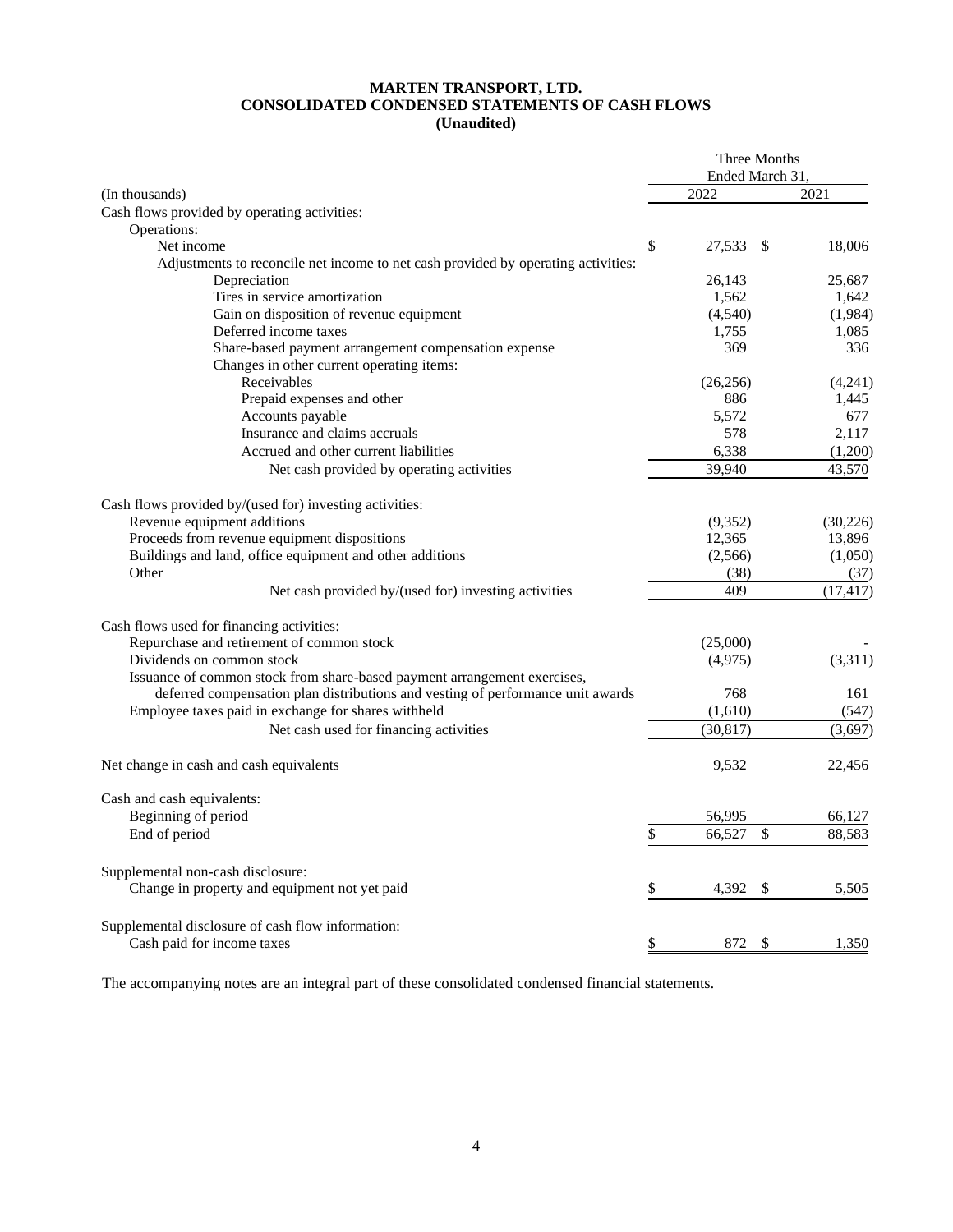# **MARTEN TRANSPORT, LTD. CONSOLIDATED CONDENSED STATEMENTS OF CASH FLOWS (Unaudited)**

|                                                                                   | Three Months<br>Ended March 31. |           |
|-----------------------------------------------------------------------------------|---------------------------------|-----------|
| (In thousands)                                                                    | 2022                            | 2021      |
| Cash flows provided by operating activities:                                      |                                 |           |
| Operations:                                                                       |                                 |           |
| Net income                                                                        | \$<br>27,533<br>\$              | 18,006    |
| Adjustments to reconcile net income to net cash provided by operating activities: |                                 |           |
| Depreciation                                                                      | 26,143                          | 25,687    |
| Tires in service amortization                                                     | 1,562                           | 1,642     |
| Gain on disposition of revenue equipment                                          | (4,540)                         | (1,984)   |
| Deferred income taxes                                                             | 1,755                           | 1,085     |
| Share-based payment arrangement compensation expense                              | 369                             | 336       |
| Changes in other current operating items:                                         |                                 |           |
| Receivables                                                                       | (26, 256)                       | (4,241)   |
| Prepaid expenses and other                                                        | 886                             | 1,445     |
| Accounts payable                                                                  | 5,572                           | 677       |
| Insurance and claims accruals                                                     | 578                             | 2,117     |
| Accrued and other current liabilities                                             | 6,338                           | (1,200)   |
| Net cash provided by operating activities                                         | 39,940                          | 43,570    |
|                                                                                   |                                 |           |
| Cash flows provided by/(used for) investing activities:                           |                                 |           |
| Revenue equipment additions                                                       | (9,352)                         | (30,226)  |
| Proceeds from revenue equipment dispositions                                      | 12,365                          | 13,896    |
| Buildings and land, office equipment and other additions                          | (2,566)                         | (1,050)   |
| Other                                                                             | (38)                            | (37)      |
| Net cash provided by/(used for) investing activities                              | 409                             | (17, 417) |
| Cash flows used for financing activities:                                         |                                 |           |
| Repurchase and retirement of common stock                                         | (25,000)                        |           |
| Dividends on common stock                                                         | (4,975)                         | (3,311)   |
| Issuance of common stock from share-based payment arrangement exercises,          |                                 |           |
| deferred compensation plan distributions and vesting of performance unit awards   | 768                             | 161       |
| Employee taxes paid in exchange for shares withheld                               | (1,610)                         | (547)     |
| Net cash used for financing activities                                            | (30, 817)                       | (3,697)   |
|                                                                                   |                                 |           |
| Net change in cash and cash equivalents                                           | 9,532                           | 22,456    |
| Cash and cash equivalents:                                                        |                                 |           |
| Beginning of period                                                               | 56,995                          | 66,127    |
| End of period                                                                     | \$<br>66,527<br>\$              | 88,583    |
|                                                                                   |                                 |           |
| Supplemental non-cash disclosure:                                                 |                                 |           |
| Change in property and equipment not yet paid                                     | \$<br>4,392<br>\$               | 5,505     |
| Supplemental disclosure of cash flow information:                                 |                                 |           |
| Cash paid for income taxes                                                        | \$<br>872<br>\$                 | 1,350     |
|                                                                                   |                                 |           |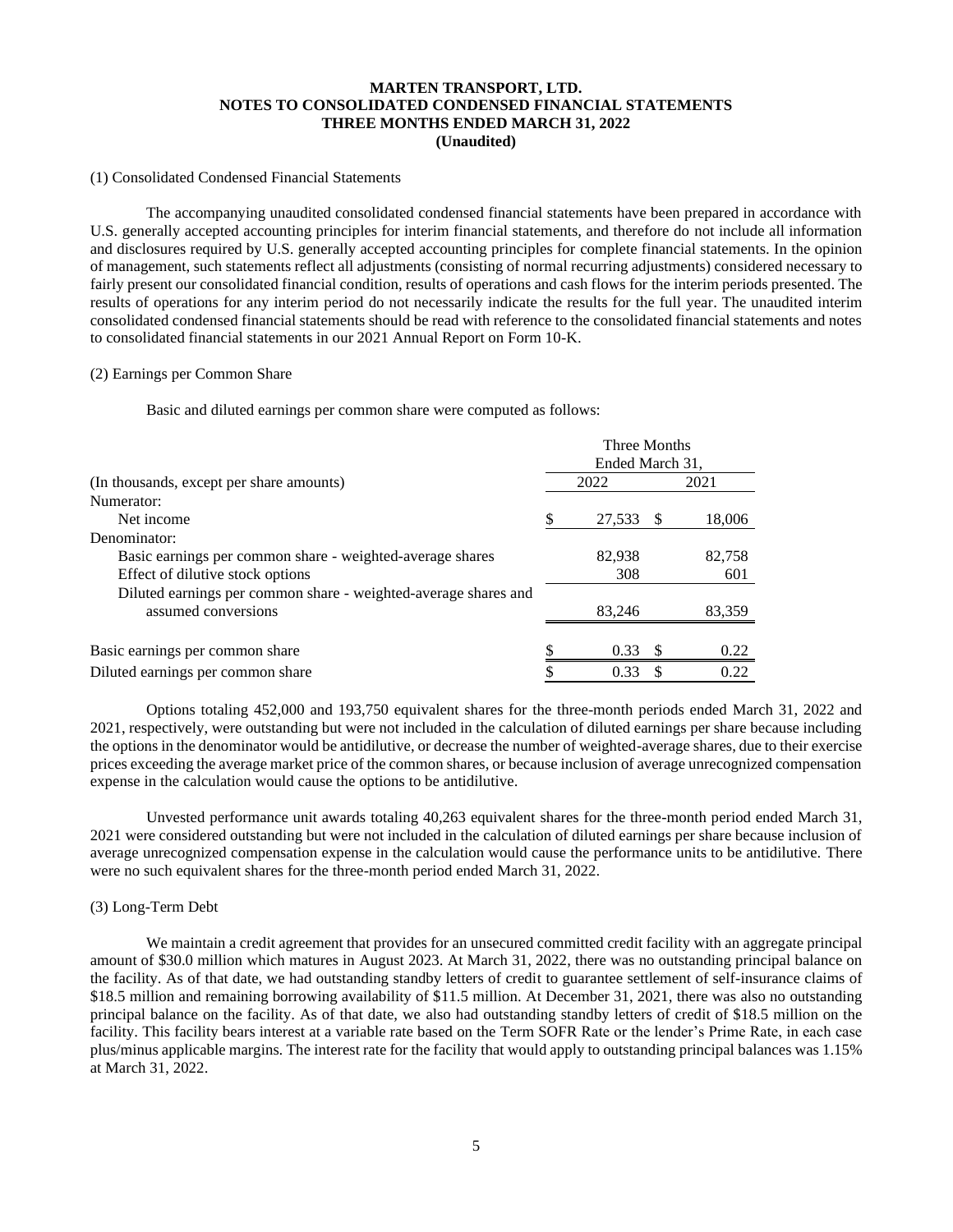## **MARTEN TRANSPORT, LTD. NOTES TO CONSOLIDATED CONDENSED FINANCIAL STATEMENTS THREE MONTHS ENDED MARCH 31, 2022 (Unaudited)**

#### (1) Consolidated Condensed Financial Statements

The accompanying unaudited consolidated condensed financial statements have been prepared in accordance with U.S. generally accepted accounting principles for interim financial statements, and therefore do not include all information and disclosures required by U.S. generally accepted accounting principles for complete financial statements. In the opinion of management, such statements reflect all adjustments (consisting of normal recurring adjustments) considered necessary to fairly present our consolidated financial condition, results of operations and cash flows for the interim periods presented. The results of operations for any interim period do not necessarily indicate the results for the full year. The unaudited interim consolidated condensed financial statements should be read with reference to the consolidated financial statements and notes to consolidated financial statements in our 2021 Annual Report on Form 10-K.

#### (2) Earnings per Common Share

Basic and diluted earnings per common share were computed as follows:

|                                                                 | Three Months<br>Ended March 31, |        |      |        |  |  |
|-----------------------------------------------------------------|---------------------------------|--------|------|--------|--|--|
| (In thousands, except per share amounts)                        |                                 | 2022   |      | 2021   |  |  |
| Numerator:                                                      |                                 |        |      |        |  |  |
| Net income                                                      |                                 | 27,533 |      | 18,006 |  |  |
| Denominator:                                                    |                                 |        |      |        |  |  |
| Basic earnings per common share - weighted-average shares       |                                 | 82.938 |      | 82,758 |  |  |
| Effect of dilutive stock options                                |                                 | 308    |      | 601    |  |  |
| Diluted earnings per common share - weighted-average shares and |                                 |        |      |        |  |  |
| assumed conversions                                             |                                 | 83.246 |      | 83,359 |  |  |
|                                                                 |                                 |        |      |        |  |  |
| Basic earnings per common share                                 |                                 | 0.33   | - \$ | 0.22   |  |  |
| Diluted earnings per common share                               |                                 | 0.33   | S.   | 0.22   |  |  |

Options totaling 452,000 and 193,750 equivalent shares for the three-month periods ended March 31, 2022 and 2021, respectively, were outstanding but were not included in the calculation of diluted earnings per share because including the options in the denominator would be antidilutive, or decrease the number of weighted-average shares, due to their exercise prices exceeding the average market price of the common shares, or because inclusion of average unrecognized compensation expense in the calculation would cause the options to be antidilutive.

Unvested performance unit awards totaling 40,263 equivalent shares for the three-month period ended March 31, 2021 were considered outstanding but were not included in the calculation of diluted earnings per share because inclusion of average unrecognized compensation expense in the calculation would cause the performance units to be antidilutive. There were no such equivalent shares for the three-month period ended March 31, 2022.

#### (3) Long-Term Debt

We maintain a credit agreement that provides for an unsecured committed credit facility with an aggregate principal amount of \$30.0 million which matures in August 2023. At March 31, 2022, there was no outstanding principal balance on the facility. As of that date, we had outstanding standby letters of credit to guarantee settlement of self-insurance claims of \$18.5 million and remaining borrowing availability of \$11.5 million. At December 31, 2021, there was also no outstanding principal balance on the facility. As of that date, we also had outstanding standby letters of credit of \$18.5 million on the facility. This facility bears interest at a variable rate based on the Term SOFR Rate or the lender's Prime Rate, in each case plus/minus applicable margins. The interest rate for the facility that would apply to outstanding principal balances was 1.15% at March 31, 2022.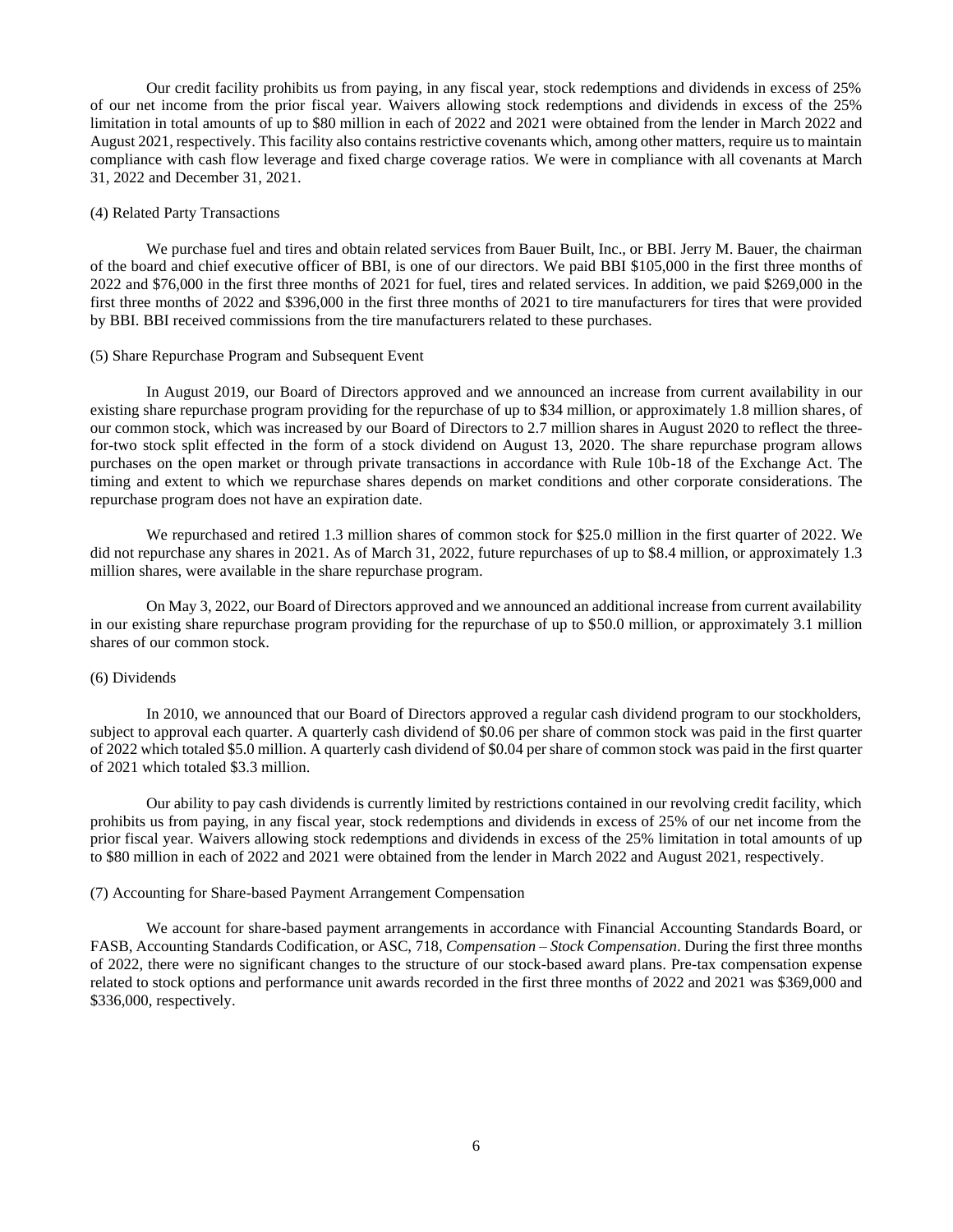Our credit facility prohibits us from paying, in any fiscal year, stock redemptions and dividends in excess of 25% of our net income from the prior fiscal year. Waivers allowing stock redemptions and dividends in excess of the 25% limitation in total amounts of up to \$80 million in each of 2022 and 2021 were obtained from the lender in March 2022 and August 2021, respectively. This facility also contains restrictive covenants which, among other matters, require us to maintain compliance with cash flow leverage and fixed charge coverage ratios. We were in compliance with all covenants at March 31, 2022 and December 31, 2021.

### (4) Related Party Transactions

We purchase fuel and tires and obtain related services from Bauer Built, Inc., or BBI. Jerry M. Bauer, the chairman of the board and chief executive officer of BBI, is one of our directors. We paid BBI \$105,000 in the first three months of 2022 and \$76,000 in the first three months of 2021 for fuel, tires and related services. In addition, we paid \$269,000 in the first three months of 2022 and \$396,000 in the first three months of 2021 to tire manufacturers for tires that were provided by BBI. BBI received commissions from the tire manufacturers related to these purchases.

#### (5) Share Repurchase Program and Subsequent Event

In August 2019, our Board of Directors approved and we announced an increase from current availability in our existing share repurchase program providing for the repurchase of up to \$34 million, or approximately 1.8 million shares, of our common stock, which was increased by our Board of Directors to 2.7 million shares in August 2020 to reflect the threefor-two stock split effected in the form of a stock dividend on August 13, 2020. The share repurchase program allows purchases on the open market or through private transactions in accordance with Rule 10b-18 of the Exchange Act. The timing and extent to which we repurchase shares depends on market conditions and other corporate considerations. The repurchase program does not have an expiration date.

We repurchased and retired 1.3 million shares of common stock for \$25.0 million in the first quarter of 2022. We did not repurchase any shares in 2021. As of March 31, 2022, future repurchases of up to \$8.4 million, or approximately 1.3 million shares, were available in the share repurchase program.

On May 3, 2022, our Board of Directors approved and we announced an additional increase from current availability in our existing share repurchase program providing for the repurchase of up to \$50.0 million, or approximately 3.1 million shares of our common stock.

## (6) Dividends

In 2010, we announced that our Board of Directors approved a regular cash dividend program to our stockholders, subject to approval each quarter. A quarterly cash dividend of \$0.06 per share of common stock was paid in the first quarter of 2022 which totaled \$5.0 million. A quarterly cash dividend of \$0.04 per share of common stock was paid in the first quarter of 2021 which totaled \$3.3 million.

Our ability to pay cash dividends is currently limited by restrictions contained in our revolving credit facility, which prohibits us from paying, in any fiscal year, stock redemptions and dividends in excess of 25% of our net income from the prior fiscal year. Waivers allowing stock redemptions and dividends in excess of the 25% limitation in total amounts of up to \$80 million in each of 2022 and 2021 were obtained from the lender in March 2022 and August 2021, respectively.

## (7) Accounting for Share-based Payment Arrangement Compensation

We account for share-based payment arrangements in accordance with Financial Accounting Standards Board, or FASB, Accounting Standards Codification, or ASC, 718, *Compensation – Stock Compensation*. During the first three months of 2022, there were no significant changes to the structure of our stock-based award plans. Pre-tax compensation expense related to stock options and performance unit awards recorded in the first three months of 2022 and 2021 was \$369,000 and \$336,000, respectively.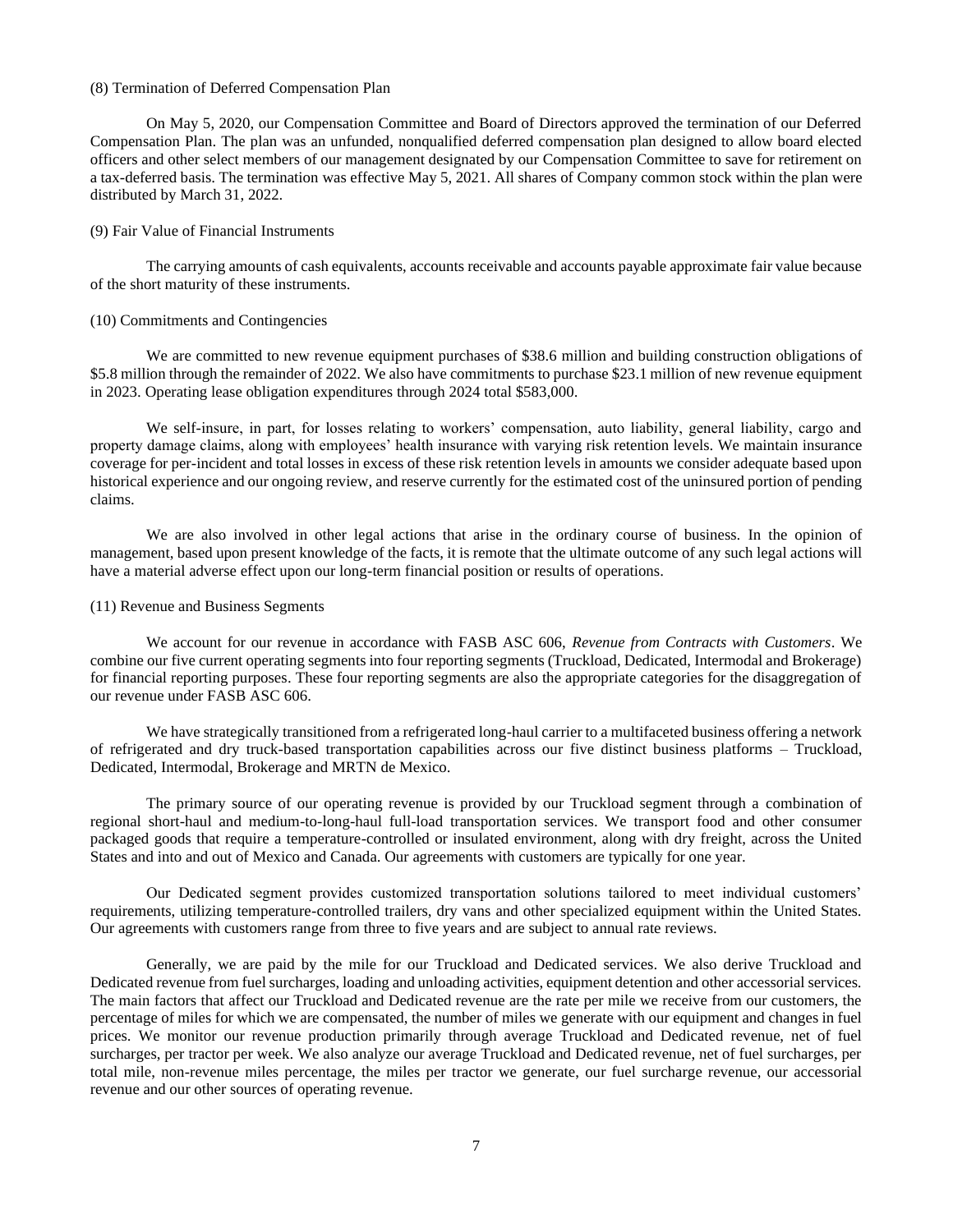## (8) Termination of Deferred Compensation Plan

On May 5, 2020, our Compensation Committee and Board of Directors approved the termination of our Deferred Compensation Plan. The plan was an unfunded, nonqualified deferred compensation plan designed to allow board elected officers and other select members of our management designated by our Compensation Committee to save for retirement on a tax-deferred basis. The termination was effective May 5, 2021. All shares of Company common stock within the plan were distributed by March 31, 2022.

## (9) Fair Value of Financial Instruments

The carrying amounts of cash equivalents, accounts receivable and accounts payable approximate fair value because of the short maturity of these instruments.

#### (10) Commitments and Contingencies

We are committed to new revenue equipment purchases of \$38.6 million and building construction obligations of \$5.8 million through the remainder of 2022. We also have commitments to purchase \$23.1 million of new revenue equipment in 2023. Operating lease obligation expenditures through 2024 total \$583,000.

We self-insure, in part, for losses relating to workers' compensation, auto liability, general liability, cargo and property damage claims, along with employees' health insurance with varying risk retention levels. We maintain insurance coverage for per-incident and total losses in excess of these risk retention levels in amounts we consider adequate based upon historical experience and our ongoing review, and reserve currently for the estimated cost of the uninsured portion of pending claims.

We are also involved in other legal actions that arise in the ordinary course of business. In the opinion of management, based upon present knowledge of the facts, it is remote that the ultimate outcome of any such legal actions will have a material adverse effect upon our long-term financial position or results of operations.

### (11) Revenue and Business Segments

We account for our revenue in accordance with FASB ASC 606, *Revenue from Contracts with Customers*. We combine our five current operating segments into four reporting segments (Truckload, Dedicated, Intermodal and Brokerage) for financial reporting purposes. These four reporting segments are also the appropriate categories for the disaggregation of our revenue under FASB ASC 606.

We have strategically transitioned from a refrigerated long-haul carrier to a multifaceted business offering a network of refrigerated and dry truck-based transportation capabilities across our five distinct business platforms – Truckload, Dedicated, Intermodal, Brokerage and MRTN de Mexico.

The primary source of our operating revenue is provided by our Truckload segment through a combination of regional short-haul and medium-to-long-haul full-load transportation services. We transport food and other consumer packaged goods that require a temperature-controlled or insulated environment, along with dry freight, across the United States and into and out of Mexico and Canada. Our agreements with customers are typically for one year.

Our Dedicated segment provides customized transportation solutions tailored to meet individual customers' requirements, utilizing temperature-controlled trailers, dry vans and other specialized equipment within the United States. Our agreements with customers range from three to five years and are subject to annual rate reviews.

Generally, we are paid by the mile for our Truckload and Dedicated services. We also derive Truckload and Dedicated revenue from fuel surcharges, loading and unloading activities, equipment detention and other accessorial services. The main factors that affect our Truckload and Dedicated revenue are the rate per mile we receive from our customers, the percentage of miles for which we are compensated, the number of miles we generate with our equipment and changes in fuel prices. We monitor our revenue production primarily through average Truckload and Dedicated revenue, net of fuel surcharges, per tractor per week. We also analyze our average Truckload and Dedicated revenue, net of fuel surcharges, per total mile, non-revenue miles percentage, the miles per tractor we generate, our fuel surcharge revenue, our accessorial revenue and our other sources of operating revenue.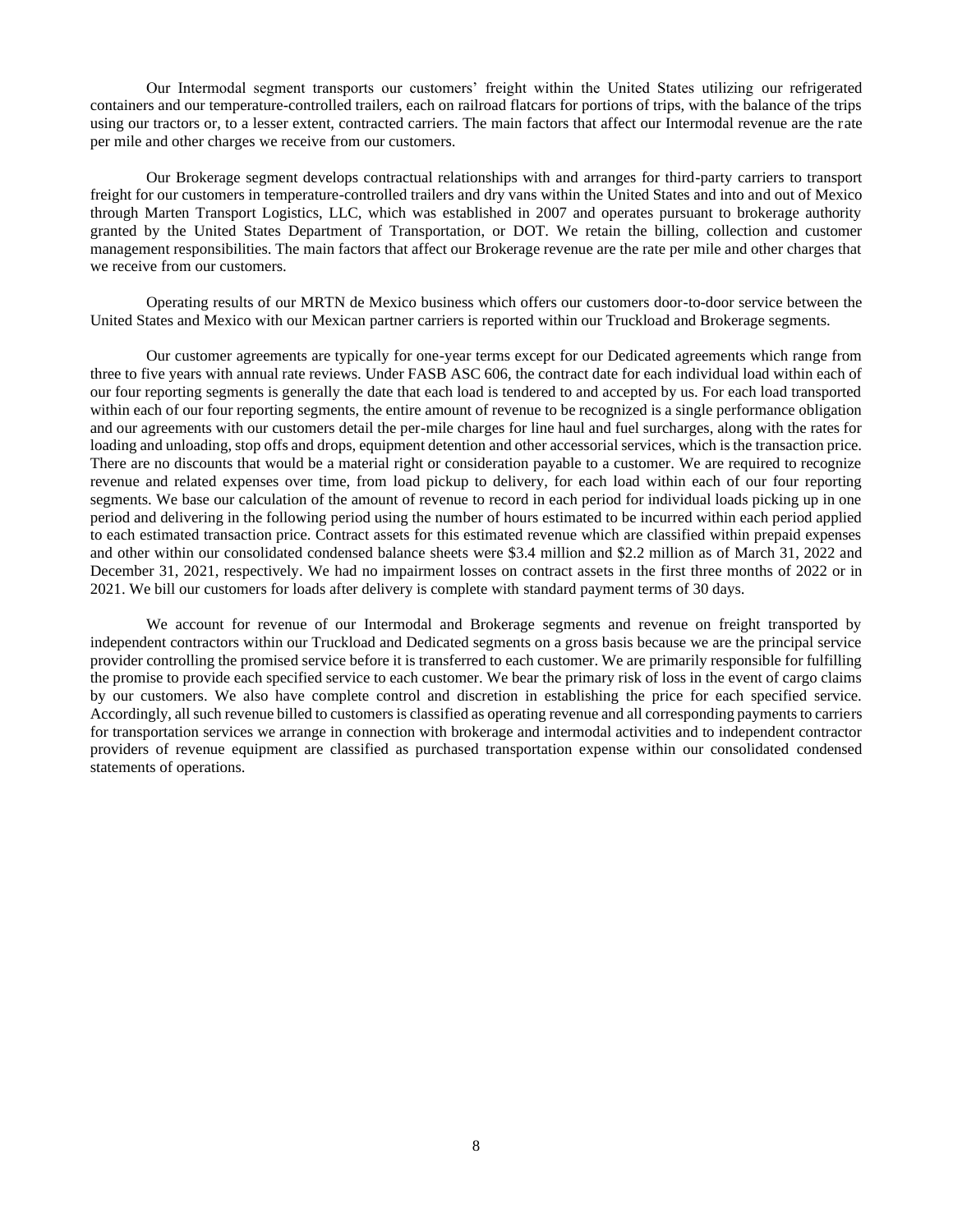Our Intermodal segment transports our customers' freight within the United States utilizing our refrigerated containers and our temperature-controlled trailers, each on railroad flatcars for portions of trips, with the balance of the trips using our tractors or, to a lesser extent, contracted carriers. The main factors that affect our Intermodal revenue are the rate per mile and other charges we receive from our customers.

Our Brokerage segment develops contractual relationships with and arranges for third-party carriers to transport freight for our customers in temperature-controlled trailers and dry vans within the United States and into and out of Mexico through Marten Transport Logistics, LLC, which was established in 2007 and operates pursuant to brokerage authority granted by the United States Department of Transportation, or DOT. We retain the billing, collection and customer management responsibilities. The main factors that affect our Brokerage revenue are the rate per mile and other charges that we receive from our customers.

Operating results of our MRTN de Mexico business which offers our customers door-to-door service between the United States and Mexico with our Mexican partner carriers is reported within our Truckload and Brokerage segments.

Our customer agreements are typically for one-year terms except for our Dedicated agreements which range from three to five years with annual rate reviews. Under FASB ASC 606, the contract date for each individual load within each of our four reporting segments is generally the date that each load is tendered to and accepted by us. For each load transported within each of our four reporting segments, the entire amount of revenue to be recognized is a single performance obligation and our agreements with our customers detail the per-mile charges for line haul and fuel surcharges, along with the rates for loading and unloading, stop offs and drops, equipment detention and other accessorial services, which is the transaction price. There are no discounts that would be a material right or consideration payable to a customer. We are required to recognize revenue and related expenses over time, from load pickup to delivery, for each load within each of our four reporting segments. We base our calculation of the amount of revenue to record in each period for individual loads picking up in one period and delivering in the following period using the number of hours estimated to be incurred within each period applied to each estimated transaction price. Contract assets for this estimated revenue which are classified within prepaid expenses and other within our consolidated condensed balance sheets were \$3.4 million and \$2.2 million as of March 31, 2022 and December 31, 2021, respectively. We had no impairment losses on contract assets in the first three months of 2022 or in 2021. We bill our customers for loads after delivery is complete with standard payment terms of 30 days.

We account for revenue of our Intermodal and Brokerage segments and revenue on freight transported by independent contractors within our Truckload and Dedicated segments on a gross basis because we are the principal service provider controlling the promised service before it is transferred to each customer. We are primarily responsible for fulfilling the promise to provide each specified service to each customer. We bear the primary risk of loss in the event of cargo claims by our customers. We also have complete control and discretion in establishing the price for each specified service. Accordingly, all such revenue billed to customers is classified as operating revenue and all corresponding payments to carriers for transportation services we arrange in connection with brokerage and intermodal activities and to independent contractor providers of revenue equipment are classified as purchased transportation expense within our consolidated condensed statements of operations.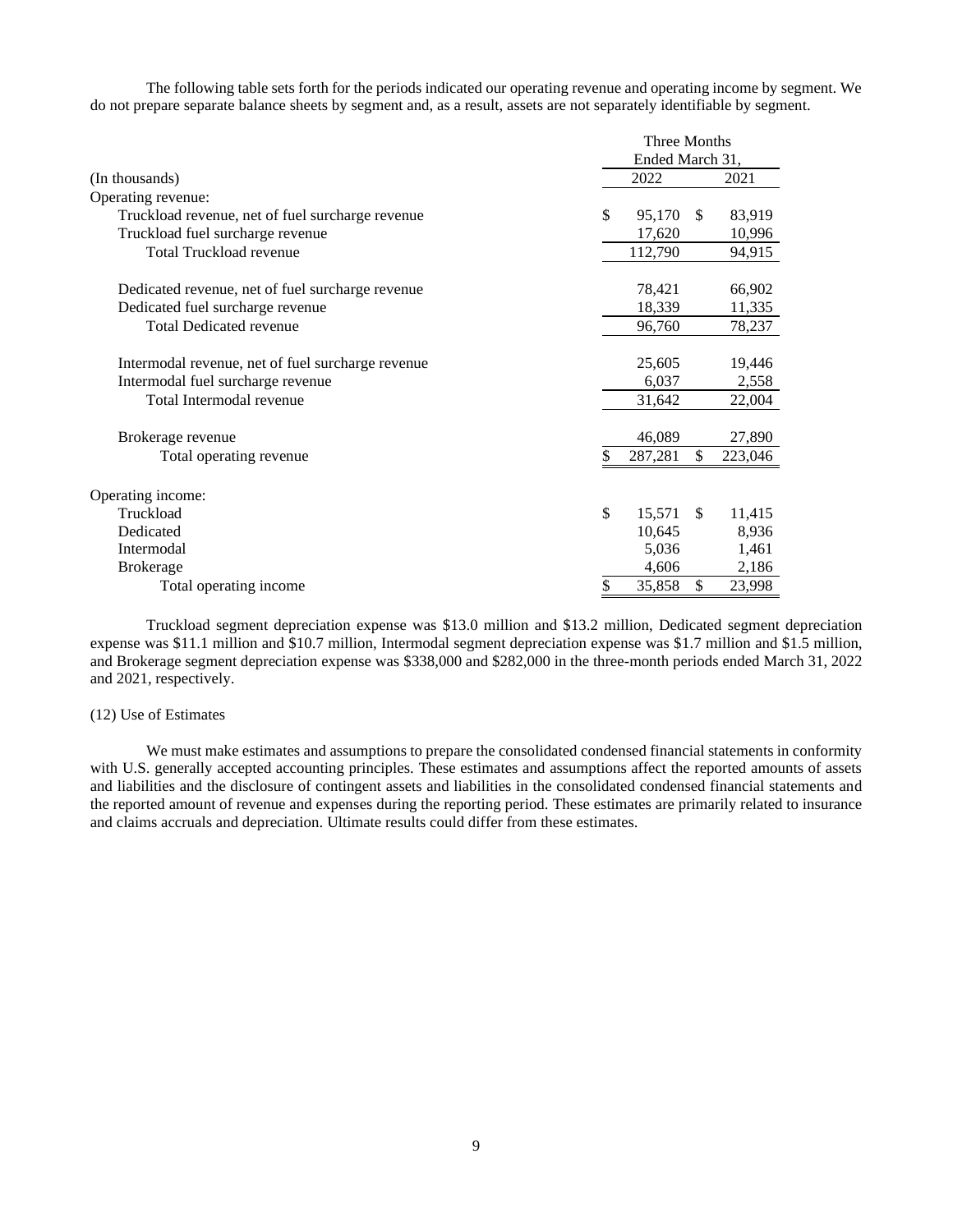The following table sets forth for the periods indicated our operating revenue and operating income by segment. We do not prepare separate balance sheets by segment and, as a result, assets are not separately identifiable by segment.

|                                                   | Three Months    |               |         |
|---------------------------------------------------|-----------------|---------------|---------|
|                                                   | Ended March 31, |               |         |
| (In thousands)                                    | 2022            |               | 2021    |
| Operating revenue:                                |                 |               |         |
| Truckload revenue, net of fuel surcharge revenue  | \$<br>95,170    | <sup>\$</sup> | 83,919  |
| Truckload fuel surcharge revenue                  | 17,620          |               | 10,996  |
| <b>Total Truckload revenue</b>                    | 112,790         |               | 94,915  |
| Dedicated revenue, net of fuel surcharge revenue  | 78,421          |               | 66,902  |
| Dedicated fuel surcharge revenue                  | 18,339          |               | 11,335  |
| <b>Total Dedicated revenue</b>                    | 96,760          |               | 78,237  |
| Intermodal revenue, net of fuel surcharge revenue | 25,605          |               | 19,446  |
| Intermodal fuel surcharge revenue                 | 6,037           |               | 2,558   |
| Total Intermodal revenue                          | 31,642          |               | 22,004  |
| Brokerage revenue                                 | 46,089          |               | 27,890  |
| Total operating revenue                           | \$<br>287,281   | \$            | 223,046 |
| Operating income:                                 |                 |               |         |
| Truckload                                         | \$<br>15,571    | <sup>\$</sup> | 11,415  |
| Dedicated                                         | 10,645          |               | 8,936   |
| Intermodal                                        | 5,036           |               | 1,461   |
| <b>Brokerage</b>                                  | 4,606           |               | 2,186   |
| Total operating income                            | \$<br>35,858    | \$            | 23,998  |

Truckload segment depreciation expense was \$13.0 million and \$13.2 million, Dedicated segment depreciation expense was \$11.1 million and \$10.7 million, Intermodal segment depreciation expense was \$1.7 million and \$1.5 million, and Brokerage segment depreciation expense was \$338,000 and \$282,000 in the three-month periods ended March 31, 2022 and 2021, respectively.

#### (12) Use of Estimates

We must make estimates and assumptions to prepare the consolidated condensed financial statements in conformity with U.S. generally accepted accounting principles. These estimates and assumptions affect the reported amounts of assets and liabilities and the disclosure of contingent assets and liabilities in the consolidated condensed financial statements and the reported amount of revenue and expenses during the reporting period. These estimates are primarily related to insurance and claims accruals and depreciation. Ultimate results could differ from these estimates.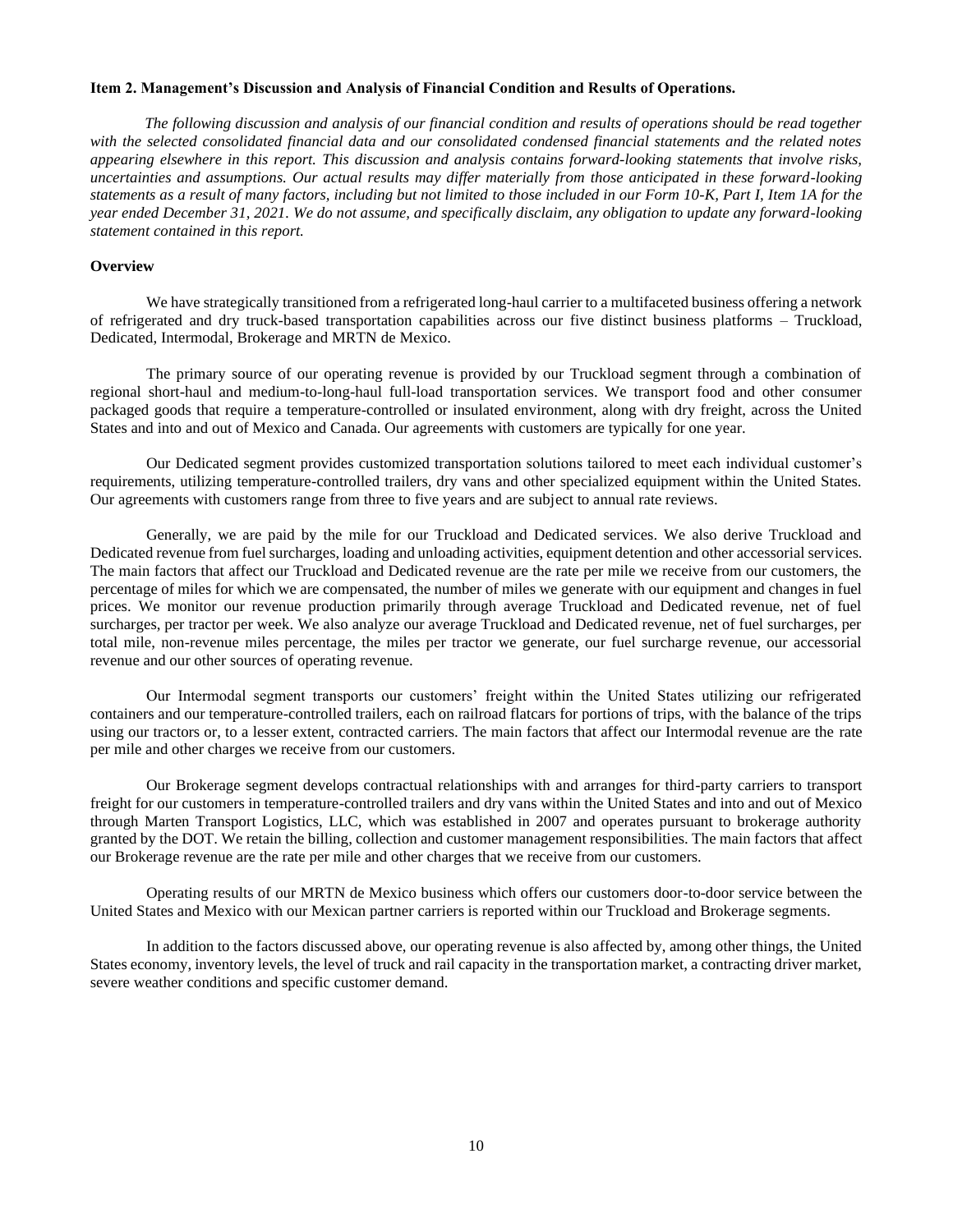# **Item 2. Management's Discussion and Analysis of Financial Condition and Results of Operations.**

 *The following discussion and analysis of our financial condition and results of operations should be read together with the selected consolidated financial data and our consolidated condensed financial statements and the related notes appearing elsewhere in this report. This discussion and analysis contains forward-looking statements that involve risks, uncertainties and assumptions. Our actual results may differ materially from those anticipated in these forward-looking statements as a result of many factors, including but not limited to those included in our Form 10-K, Part I, Item 1A for the year ended December 31, 2021. We do not assume, and specifically disclaim, any obligation to update any forward-looking statement contained in this report.*

#### **Overview**

We have strategically transitioned from a refrigerated long-haul carrier to a multifaceted business offering a network of refrigerated and dry truck-based transportation capabilities across our five distinct business platforms – Truckload, Dedicated, Intermodal, Brokerage and MRTN de Mexico.

The primary source of our operating revenue is provided by our Truckload segment through a combination of regional short-haul and medium-to-long-haul full-load transportation services. We transport food and other consumer packaged goods that require a temperature-controlled or insulated environment, along with dry freight, across the United States and into and out of Mexico and Canada. Our agreements with customers are typically for one year.

Our Dedicated segment provides customized transportation solutions tailored to meet each individual customer's requirements, utilizing temperature-controlled trailers, dry vans and other specialized equipment within the United States. Our agreements with customers range from three to five years and are subject to annual rate reviews.

Generally, we are paid by the mile for our Truckload and Dedicated services. We also derive Truckload and Dedicated revenue from fuel surcharges, loading and unloading activities, equipment detention and other accessorial services. The main factors that affect our Truckload and Dedicated revenue are the rate per mile we receive from our customers, the percentage of miles for which we are compensated, the number of miles we generate with our equipment and changes in fuel prices. We monitor our revenue production primarily through average Truckload and Dedicated revenue, net of fuel surcharges, per tractor per week. We also analyze our average Truckload and Dedicated revenue, net of fuel surcharges, per total mile, non-revenue miles percentage, the miles per tractor we generate, our fuel surcharge revenue, our accessorial revenue and our other sources of operating revenue.

Our Intermodal segment transports our customers' freight within the United States utilizing our refrigerated containers and our temperature-controlled trailers, each on railroad flatcars for portions of trips, with the balance of the trips using our tractors or, to a lesser extent, contracted carriers. The main factors that affect our Intermodal revenue are the rate per mile and other charges we receive from our customers.

Our Brokerage segment develops contractual relationships with and arranges for third-party carriers to transport freight for our customers in temperature-controlled trailers and dry vans within the United States and into and out of Mexico through Marten Transport Logistics, LLC, which was established in 2007 and operates pursuant to brokerage authority granted by the DOT. We retain the billing, collection and customer management responsibilities. The main factors that affect our Brokerage revenue are the rate per mile and other charges that we receive from our customers.

Operating results of our MRTN de Mexico business which offers our customers door-to-door service between the United States and Mexico with our Mexican partner carriers is reported within our Truckload and Brokerage segments.

In addition to the factors discussed above, our operating revenue is also affected by, among other things, the United States economy, inventory levels, the level of truck and rail capacity in the transportation market, a contracting driver market, severe weather conditions and specific customer demand.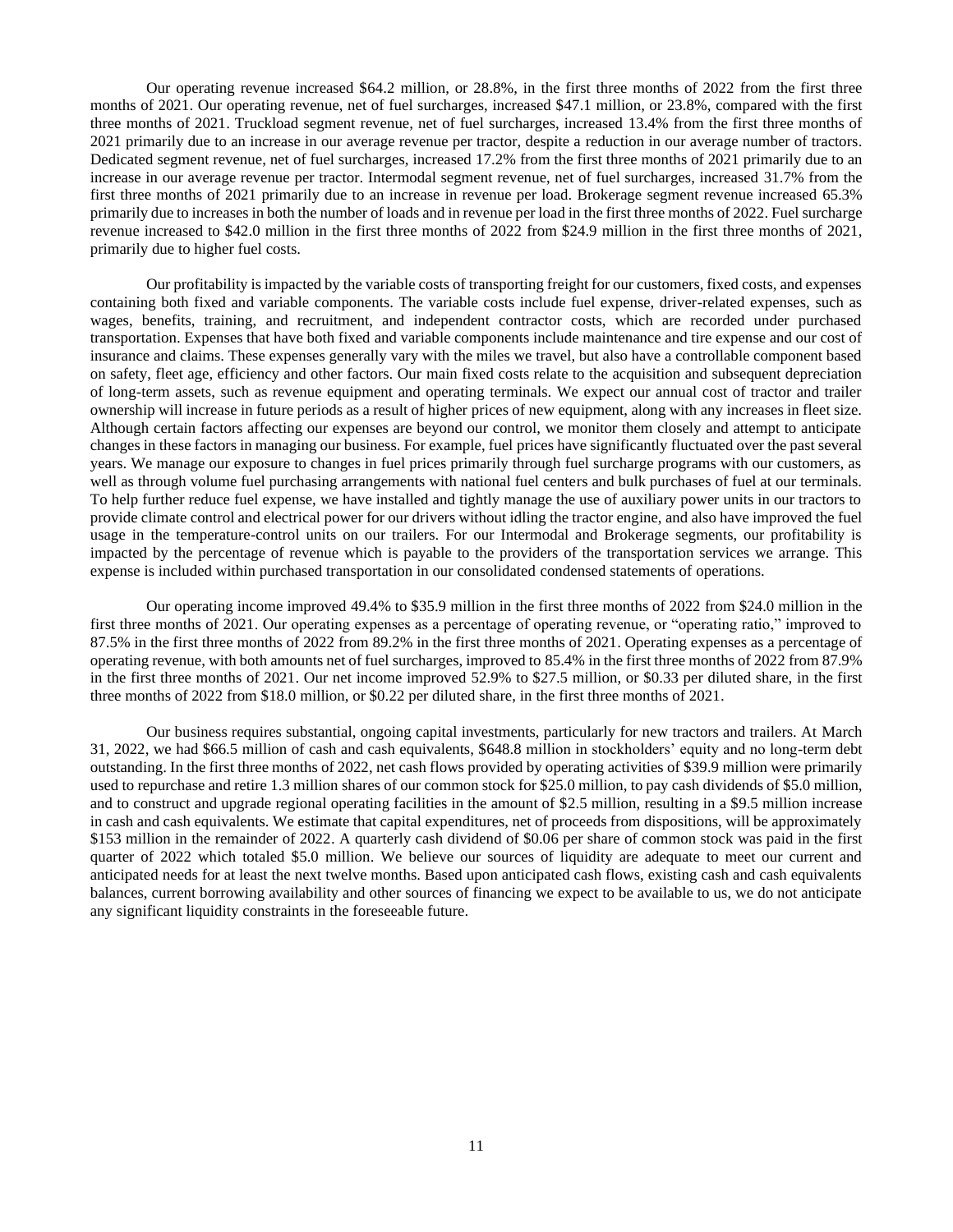Our operating revenue increased \$64.2 million, or 28.8%, in the first three months of 2022 from the first three months of 2021. Our operating revenue, net of fuel surcharges, increased \$47.1 million, or 23.8%, compared with the first three months of 2021. Truckload segment revenue, net of fuel surcharges, increased 13.4% from the first three months of 2021 primarily due to an increase in our average revenue per tractor, despite a reduction in our average number of tractors. Dedicated segment revenue, net of fuel surcharges, increased 17.2% from the first three months of 2021 primarily due to an increase in our average revenue per tractor. Intermodal segment revenue, net of fuel surcharges, increased 31.7% from the first three months of 2021 primarily due to an increase in revenue per load. Brokerage segment revenue increased 65.3% primarily due to increases in both the number of loads and in revenue per load in the first three months of 2022. Fuel surcharge revenue increased to \$42.0 million in the first three months of 2022 from \$24.9 million in the first three months of 2021, primarily due to higher fuel costs.

Our profitability is impacted by the variable costs of transporting freight for our customers, fixed costs, and expenses containing both fixed and variable components. The variable costs include fuel expense, driver-related expenses, such as wages, benefits, training, and recruitment, and independent contractor costs, which are recorded under purchased transportation. Expenses that have both fixed and variable components include maintenance and tire expense and our cost of insurance and claims. These expenses generally vary with the miles we travel, but also have a controllable component based on safety, fleet age, efficiency and other factors. Our main fixed costs relate to the acquisition and subsequent depreciation of long-term assets, such as revenue equipment and operating terminals. We expect our annual cost of tractor and trailer ownership will increase in future periods as a result of higher prices of new equipment, along with any increases in fleet size. Although certain factors affecting our expenses are beyond our control, we monitor them closely and attempt to anticipate changes in these factors in managing our business. For example, fuel prices have significantly fluctuated over the past several years. We manage our exposure to changes in fuel prices primarily through fuel surcharge programs with our customers, as well as through volume fuel purchasing arrangements with national fuel centers and bulk purchases of fuel at our terminals. To help further reduce fuel expense, we have installed and tightly manage the use of auxiliary power units in our tractors to provide climate control and electrical power for our drivers without idling the tractor engine, and also have improved the fuel usage in the temperature-control units on our trailers. For our Intermodal and Brokerage segments, our profitability is impacted by the percentage of revenue which is payable to the providers of the transportation services we arrange. This expense is included within purchased transportation in our consolidated condensed statements of operations.

Our operating income improved 49.4% to \$35.9 million in the first three months of 2022 from \$24.0 million in the first three months of 2021. Our operating expenses as a percentage of operating revenue, or "operating ratio," improved to 87.5% in the first three months of 2022 from 89.2% in the first three months of 2021. Operating expenses as a percentage of operating revenue, with both amounts net of fuel surcharges, improved to 85.4% in the first three months of 2022 from 87.9% in the first three months of 2021. Our net income improved 52.9% to \$27.5 million, or \$0.33 per diluted share, in the first three months of 2022 from \$18.0 million, or \$0.22 per diluted share, in the first three months of 2021.

Our business requires substantial, ongoing capital investments, particularly for new tractors and trailers. At March 31, 2022, we had \$66.5 million of cash and cash equivalents, \$648.8 million in stockholders' equity and no long-term debt outstanding. In the first three months of 2022, net cash flows provided by operating activities of \$39.9 million were primarily used to repurchase and retire 1.3 million shares of our common stock for \$25.0 million, to pay cash dividends of \$5.0 million, and to construct and upgrade regional operating facilities in the amount of \$2.5 million, resulting in a \$9.5 million increase in cash and cash equivalents. We estimate that capital expenditures, net of proceeds from dispositions, will be approximately \$153 million in the remainder of 2022. A quarterly cash dividend of \$0.06 per share of common stock was paid in the first quarter of 2022 which totaled \$5.0 million. We believe our sources of liquidity are adequate to meet our current and anticipated needs for at least the next twelve months. Based upon anticipated cash flows, existing cash and cash equivalents balances, current borrowing availability and other sources of financing we expect to be available to us, we do not anticipate any significant liquidity constraints in the foreseeable future.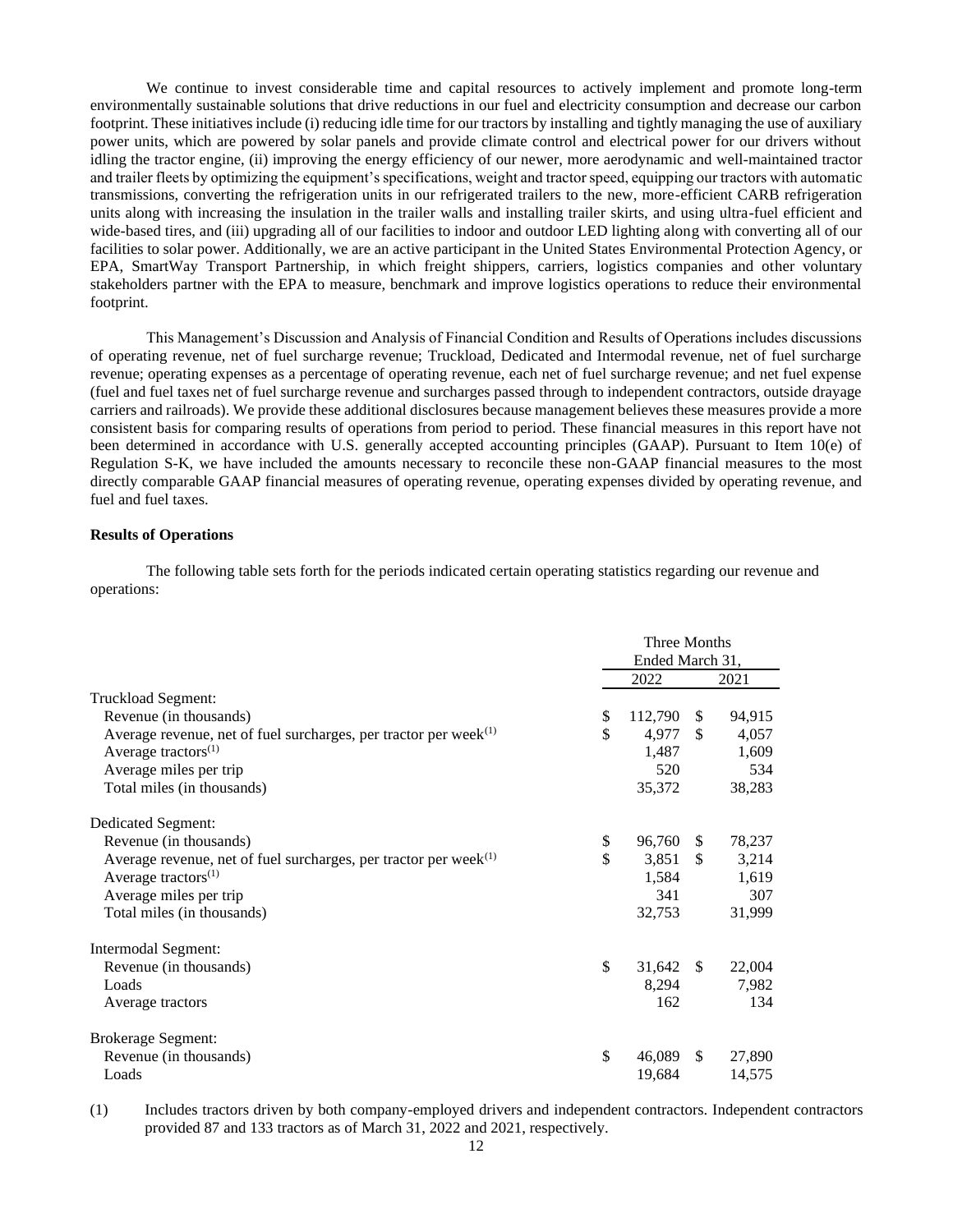We continue to invest considerable time and capital resources to actively implement and promote long-term environmentally sustainable solutions that drive reductions in our fuel and electricity consumption and decrease our carbon footprint. These initiatives include (i) reducing idle time for our tractors by installing and tightly managing the use of auxiliary power units, which are powered by solar panels and provide climate control and electrical power for our drivers without idling the tractor engine, (ii) improving the energy efficiency of our newer, more aerodynamic and well-maintained tractor and trailer fleets by optimizing the equipment's specifications, weight and tractor speed, equipping our tractors with automatic transmissions, converting the refrigeration units in our refrigerated trailers to the new, more-efficient CARB refrigeration units along with increasing the insulation in the trailer walls and installing trailer skirts, and using ultra-fuel efficient and wide-based tires, and (iii) upgrading all of our facilities to indoor and outdoor LED lighting along with converting all of our facilities to solar power. Additionally, we are an active participant in the United States Environmental Protection Agency, or EPA, SmartWay Transport Partnership, in which freight shippers, carriers, logistics companies and other voluntary stakeholders partner with the EPA to measure, benchmark and improve logistics operations to reduce their environmental footprint.

This Management's Discussion and Analysis of Financial Condition and Results of Operations includes discussions of operating revenue, net of fuel surcharge revenue; Truckload, Dedicated and Intermodal revenue, net of fuel surcharge revenue; operating expenses as a percentage of operating revenue, each net of fuel surcharge revenue; and net fuel expense (fuel and fuel taxes net of fuel surcharge revenue and surcharges passed through to independent contractors, outside drayage carriers and railroads). We provide these additional disclosures because management believes these measures provide a more consistent basis for comparing results of operations from period to period. These financial measures in this report have not been determined in accordance with U.S. generally accepted accounting principles (GAAP). Pursuant to Item 10(e) of Regulation S-K, we have included the amounts necessary to reconcile these non-GAAP financial measures to the most directly comparable GAAP financial measures of operating revenue, operating expenses divided by operating revenue, and fuel and fuel taxes.

### **Results of Operations**

The following table sets forth for the periods indicated certain operating statistics regarding our revenue and operations:

|                                                                        | Three Months<br>Ended March 31, |             |               |        |
|------------------------------------------------------------------------|---------------------------------|-------------|---------------|--------|
|                                                                        |                                 | 2022        |               | 2021   |
| Truckload Segment:                                                     |                                 |             |               |        |
| Revenue (in thousands)                                                 | \$                              | 112,790     | \$            | 94,915 |
| Average revenue, net of fuel surcharges, per tractor per week $^{(1)}$ | \$                              | 4,977 \$    |               | 4,057  |
| Average tractors $(1)$                                                 |                                 | 1,487       |               | 1,609  |
| Average miles per trip                                                 |                                 | 520         |               | 534    |
| Total miles (in thousands)                                             |                                 | 35,372      |               | 38,283 |
| Dedicated Segment:                                                     |                                 |             |               |        |
| Revenue (in thousands)                                                 | \$                              | 96,760      | \$            | 78,237 |
| Average revenue, net of fuel surcharges, per tractor per week $^{(1)}$ | \$                              | 3,851       | $\mathcal{S}$ | 3,214  |
| Average tractors <sup>(1)</sup>                                        |                                 | 1,584       |               | 1,619  |
| Average miles per trip                                                 |                                 | 341         |               | 307    |
| Total miles (in thousands)                                             |                                 | 32,753      |               | 31,999 |
| Intermodal Segment:                                                    |                                 |             |               |        |
| Revenue (in thousands)                                                 | \$                              | $31,642$ \$ |               | 22,004 |
| Loads                                                                  |                                 | 8,294       |               | 7,982  |
| Average tractors                                                       |                                 | 162         |               | 134    |
| <b>Brokerage Segment:</b>                                              |                                 |             |               |        |
| Revenue (in thousands)                                                 | \$                              | 46,089      | $\mathbb{S}$  | 27,890 |
| Loads                                                                  |                                 | 19,684      |               | 14,575 |

(1) Includes tractors driven by both company-employed drivers and independent contractors. Independent contractors provided 87 and 133 tractors as of March 31, 2022 and 2021, respectively.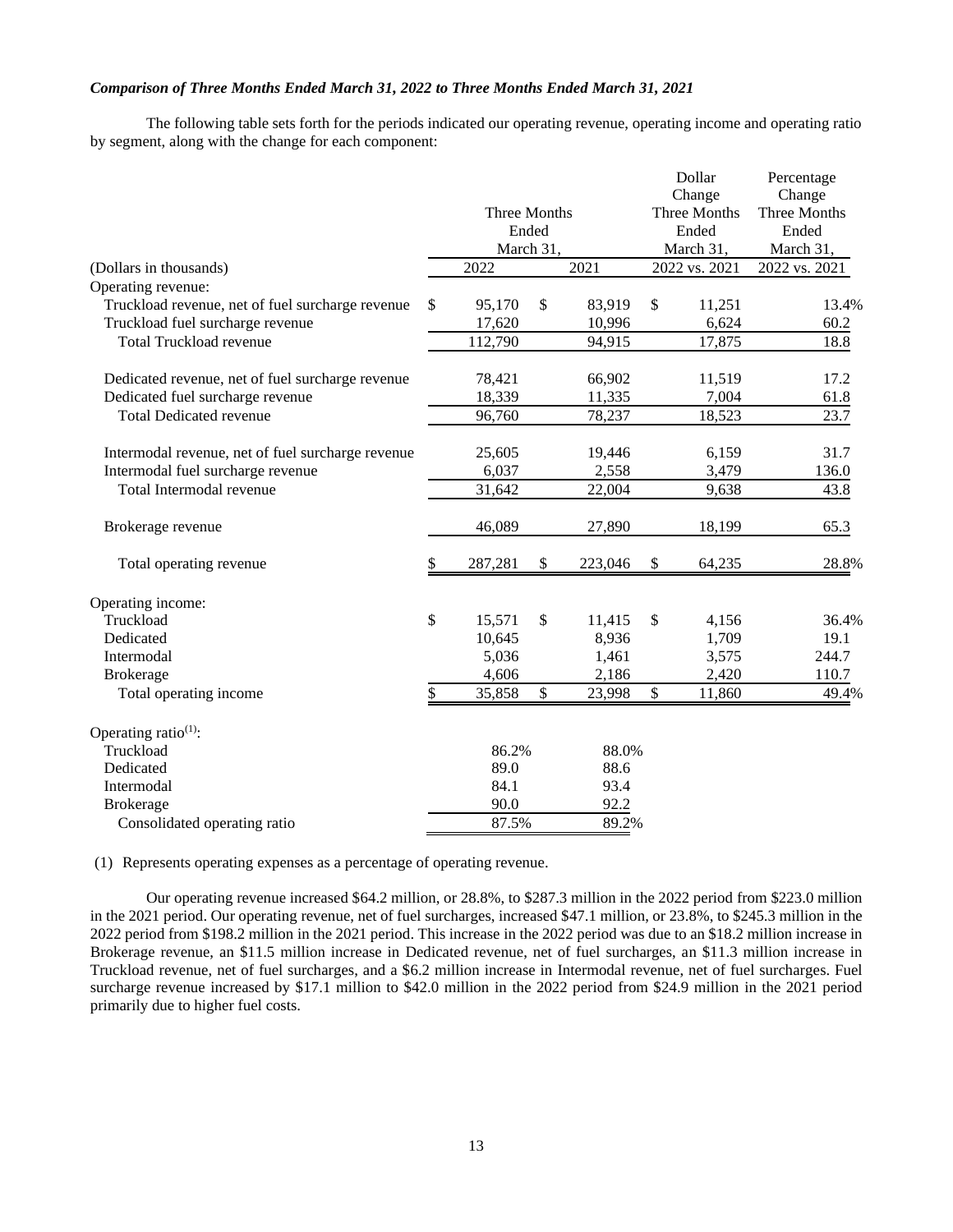# *Comparison of Three Months Ended March 31, 2022 to Three Months Ended March 31, 2021*

The following table sets forth for the periods indicated our operating revenue, operating income and operating ratio by segment, along with the change for each component:

|                                                   |               |              |         |              | Dollar<br>Change | Percentage<br>Change |
|---------------------------------------------------|---------------|--------------|---------|--------------|------------------|----------------------|
|                                                   | Three Months  |              |         |              | Three Months     | Three Months         |
|                                                   |               | Ended        |         |              | Ended            | Ended                |
|                                                   | March 31,     |              |         |              | March 31,        | March 31,            |
|                                                   | 2022          |              |         |              |                  |                      |
| (Dollars in thousands)                            |               |              | 2021    |              | 2022 vs. 2021    | 2022 vs. 2021        |
| Operating revenue:                                |               |              |         |              |                  |                      |
| Truckload revenue, net of fuel surcharge revenue  | \$<br>95,170  | $\mathbb{S}$ | 83,919  | $\mathbb{S}$ | 11,251           | 13.4%                |
| Truckload fuel surcharge revenue                  | 17,620        |              | 10,996  |              | 6,624            | 60.2                 |
| <b>Total Truckload revenue</b>                    | 112,790       |              | 94,915  |              | 17,875           | 18.8                 |
| Dedicated revenue, net of fuel surcharge revenue  | 78,421        |              | 66,902  |              | 11,519           | 17.2                 |
| Dedicated fuel surcharge revenue                  | 18,339        |              | 11,335  |              | 7,004            | 61.8                 |
| <b>Total Dedicated revenue</b>                    | 96,760        |              | 78,237  |              | 18,523           | 23.7                 |
| Intermodal revenue, net of fuel surcharge revenue | 25,605        |              | 19,446  |              | 6,159            | 31.7                 |
| Intermodal fuel surcharge revenue                 | 6,037         |              | 2,558   |              | 3,479            | 136.0                |
| Total Intermodal revenue                          | 31,642        |              | 22,004  |              | 9,638            | 43.8                 |
| Brokerage revenue                                 | 46,089        |              | 27,890  |              | 18,199           | 65.3                 |
| Total operating revenue                           | \$<br>287,281 | \$           | 223,046 | \$           | 64,235           | 28.8%                |
| Operating income:                                 |               |              |         |              |                  |                      |
| Truckload                                         | \$<br>15,571  | \$           | 11,415  | \$           | 4,156            | 36.4%                |
| Dedicated                                         | 10,645        |              | 8,936   |              | 1,709            | 19.1                 |
| Intermodal                                        | 5,036         |              | 1,461   |              | 3,575            | 244.7                |
| <b>Brokerage</b>                                  | 4,606         |              | 2,186   |              | 2,420            | 110.7                |
| Total operating income                            | \$<br>35,858  | \$           | 23,998  | \$           | 11,860           | 49.4%                |
| Operating ratio $(1)$ :                           |               |              |         |              |                  |                      |
| Truckload                                         | 86.2%         |              | 88.0%   |              |                  |                      |
| Dedicated                                         | 89.0          |              | 88.6    |              |                  |                      |
| Intermodal                                        | 84.1          |              | 93.4    |              |                  |                      |
| <b>Brokerage</b>                                  | 90.0          |              | 92.2    |              |                  |                      |
| Consolidated operating ratio                      | 87.5%         |              | 89.2%   |              |                  |                      |

(1) Represents operating expenses as a percentage of operating revenue.

Our operating revenue increased \$64.2 million, or 28.8%, to \$287.3 million in the 2022 period from \$223.0 million in the 2021 period. Our operating revenue, net of fuel surcharges, increased \$47.1 million, or 23.8%, to \$245.3 million in the 2022 period from \$198.2 million in the 2021 period. This increase in the 2022 period was due to an \$18.2 million increase in Brokerage revenue, an \$11.5 million increase in Dedicated revenue, net of fuel surcharges, an \$11.3 million increase in Truckload revenue, net of fuel surcharges, and a \$6.2 million increase in Intermodal revenue, net of fuel surcharges. Fuel surcharge revenue increased by \$17.1 million to \$42.0 million in the 2022 period from \$24.9 million in the 2021 period primarily due to higher fuel costs.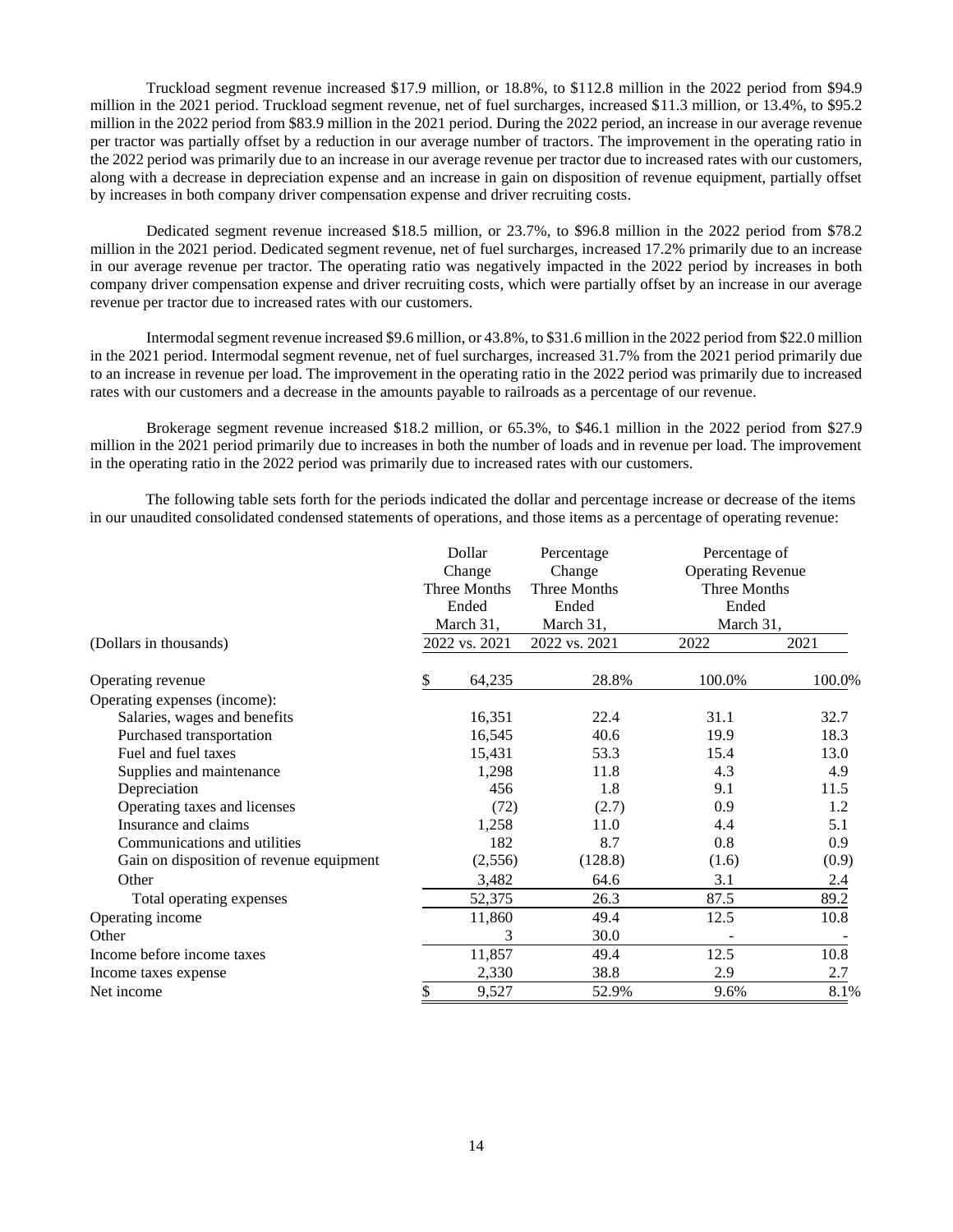Truckload segment revenue increased \$17.9 million, or 18.8%, to \$112.8 million in the 2022 period from \$94.9 million in the 2021 period. Truckload segment revenue, net of fuel surcharges, increased \$11.3 million, or 13.4%, to \$95.2 million in the 2022 period from \$83.9 million in the 2021 period. During the 2022 period, an increase in our average revenue per tractor was partially offset by a reduction in our average number of tractors. The improvement in the operating ratio in the 2022 period was primarily due to an increase in our average revenue per tractor due to increased rates with our customers, along with a decrease in depreciation expense and an increase in gain on disposition of revenue equipment, partially offset by increases in both company driver compensation expense and driver recruiting costs.

Dedicated segment revenue increased \$18.5 million, or 23.7%, to \$96.8 million in the 2022 period from \$78.2 million in the 2021 period. Dedicated segment revenue, net of fuel surcharges, increased 17.2% primarily due to an increase in our average revenue per tractor. The operating ratio was negatively impacted in the 2022 period by increases in both company driver compensation expense and driver recruiting costs, which were partially offset by an increase in our average revenue per tractor due to increased rates with our customers.

Intermodal segment revenue increased \$9.6 million, or 43.8%, to \$31.6 million in the 2022 period from \$22.0 million in the 2021 period. Intermodal segment revenue, net of fuel surcharges, increased 31.7% from the 2021 period primarily due to an increase in revenue per load. The improvement in the operating ratio in the 2022 period was primarily due to increased rates with our customers and a decrease in the amounts payable to railroads as a percentage of our revenue.

Brokerage segment revenue increased \$18.2 million, or 65.3%, to \$46.1 million in the 2022 period from \$27.9 million in the 2021 period primarily due to increases in both the number of loads and in revenue per load. The improvement in the operating ratio in the 2022 period was primarily due to increased rates with our customers.

The following table sets forth for the periods indicated the dollar and percentage increase or decrease of the items in our unaudited consolidated condensed statements of operations, and those items as a percentage of operating revenue:

|                                          |    | Dollar        | Percentage    | Percentage of            |        |
|------------------------------------------|----|---------------|---------------|--------------------------|--------|
|                                          |    | Change        | Change        | <b>Operating Revenue</b> |        |
|                                          |    | Three Months  | Three Months  | Three Months             |        |
|                                          |    | Ended         | Ended         | Ended                    |        |
|                                          |    | March 31,     | March 31,     | March 31,                |        |
| (Dollars in thousands)                   |    | 2022 vs. 2021 | 2022 vs. 2021 | 2022                     | 2021   |
| Operating revenue                        | \$ | 64,235        | 28.8%         | 100.0%                   | 100.0% |
| Operating expenses (income):             |    |               |               |                          |        |
| Salaries, wages and benefits             |    | 16,351        | 22.4          | 31.1                     | 32.7   |
| Purchased transportation                 |    | 16,545        | 40.6          | 19.9                     | 18.3   |
| Fuel and fuel taxes                      |    | 15,431        | 53.3          | 15.4                     | 13.0   |
| Supplies and maintenance                 |    | 1,298         | 11.8          | 4.3                      | 4.9    |
| Depreciation                             |    | 456           | 1.8           | 9.1                      | 11.5   |
| Operating taxes and licenses             |    | (72)          | (2.7)         | 0.9                      | 1.2    |
| Insurance and claims                     |    | 1,258         | 11.0          | 4.4                      | 5.1    |
| Communications and utilities             |    | 182           | 8.7           | 0.8                      | 0.9    |
| Gain on disposition of revenue equipment |    | (2,556)       | (128.8)       | (1.6)                    | (0.9)  |
| Other                                    |    | 3,482         | 64.6          | 3.1                      | 2.4    |
| Total operating expenses                 |    | 52,375        | 26.3          | 87.5                     | 89.2   |
| Operating income                         |    | 11,860        | 49.4          | 12.5                     | 10.8   |
| Other                                    |    | 3             | 30.0          |                          |        |
| Income before income taxes               |    | 11,857        | 49.4          | 12.5                     | 10.8   |
| Income taxes expense                     |    | 2,330         | 38.8          | 2.9                      | 2.7    |
| Net income                               | \$ | 9,527         | 52.9%         | 9.6%                     | 8.1%   |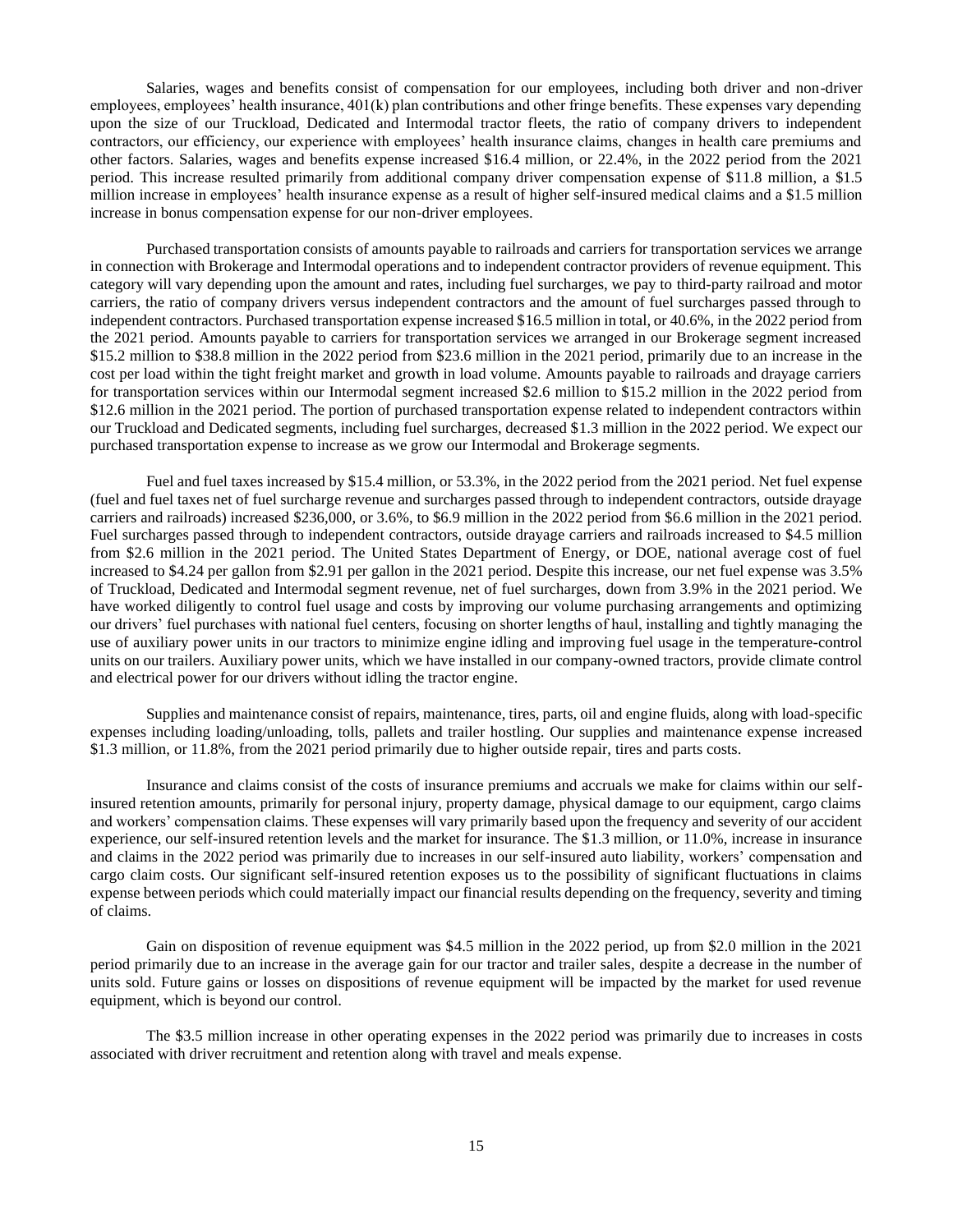Salaries, wages and benefits consist of compensation for our employees, including both driver and non-driver employees, employees' health insurance, 401(k) plan contributions and other fringe benefits. These expenses vary depending upon the size of our Truckload, Dedicated and Intermodal tractor fleets, the ratio of company drivers to independent contractors, our efficiency, our experience with employees' health insurance claims, changes in health care premiums and other factors. Salaries, wages and benefits expense increased \$16.4 million, or 22.4%, in the 2022 period from the 2021 period. This increase resulted primarily from additional company driver compensation expense of \$11.8 million, a \$1.5 million increase in employees' health insurance expense as a result of higher self-insured medical claims and a \$1.5 million increase in bonus compensation expense for our non-driver employees.

Purchased transportation consists of amounts payable to railroads and carriers for transportation services we arrange in connection with Brokerage and Intermodal operations and to independent contractor providers of revenue equipment. This category will vary depending upon the amount and rates, including fuel surcharges, we pay to third-party railroad and motor carriers, the ratio of company drivers versus independent contractors and the amount of fuel surcharges passed through to independent contractors. Purchased transportation expense increased \$16.5 million in total, or 40.6%, in the 2022 period from the 2021 period. Amounts payable to carriers for transportation services we arranged in our Brokerage segment increased \$15.2 million to \$38.8 million in the 2022 period from \$23.6 million in the 2021 period, primarily due to an increase in the cost per load within the tight freight market and growth in load volume. Amounts payable to railroads and drayage carriers for transportation services within our Intermodal segment increased \$2.6 million to \$15.2 million in the 2022 period from \$12.6 million in the 2021 period. The portion of purchased transportation expense related to independent contractors within our Truckload and Dedicated segments, including fuel surcharges, decreased \$1.3 million in the 2022 period. We expect our purchased transportation expense to increase as we grow our Intermodal and Brokerage segments.

Fuel and fuel taxes increased by \$15.4 million, or 53.3%, in the 2022 period from the 2021 period. Net fuel expense (fuel and fuel taxes net of fuel surcharge revenue and surcharges passed through to independent contractors, outside drayage carriers and railroads) increased \$236,000, or 3.6%, to \$6.9 million in the 2022 period from \$6.6 million in the 2021 period. Fuel surcharges passed through to independent contractors, outside drayage carriers and railroads increased to \$4.5 million from \$2.6 million in the 2021 period. The United States Department of Energy, or DOE, national average cost of fuel increased to \$4.24 per gallon from \$2.91 per gallon in the 2021 period. Despite this increase, our net fuel expense was 3.5% of Truckload, Dedicated and Intermodal segment revenue, net of fuel surcharges, down from 3.9% in the 2021 period. We have worked diligently to control fuel usage and costs by improving our volume purchasing arrangements and optimizing our drivers' fuel purchases with national fuel centers, focusing on shorter lengths of haul, installing and tightly managing the use of auxiliary power units in our tractors to minimize engine idling and improving fuel usage in the temperature-control units on our trailers. Auxiliary power units, which we have installed in our company-owned tractors, provide climate control and electrical power for our drivers without idling the tractor engine.

Supplies and maintenance consist of repairs, maintenance, tires, parts, oil and engine fluids, along with load-specific expenses including loading/unloading, tolls, pallets and trailer hostling. Our supplies and maintenance expense increased \$1.3 million, or 11.8%, from the 2021 period primarily due to higher outside repair, tires and parts costs.

Insurance and claims consist of the costs of insurance premiums and accruals we make for claims within our selfinsured retention amounts, primarily for personal injury, property damage, physical damage to our equipment, cargo claims and workers' compensation claims. These expenses will vary primarily based upon the frequency and severity of our accident experience, our self-insured retention levels and the market for insurance. The \$1.3 million, or 11.0%, increase in insurance and claims in the 2022 period was primarily due to increases in our self-insured auto liability, workers' compensation and cargo claim costs. Our significant self-insured retention exposes us to the possibility of significant fluctuations in claims expense between periods which could materially impact our financial results depending on the frequency, severity and timing of claims.

Gain on disposition of revenue equipment was \$4.5 million in the 2022 period, up from \$2.0 million in the 2021 period primarily due to an increase in the average gain for our tractor and trailer sales, despite a decrease in the number of units sold. Future gains or losses on dispositions of revenue equipment will be impacted by the market for used revenue equipment, which is beyond our control.

The \$3.5 million increase in other operating expenses in the 2022 period was primarily due to increases in costs associated with driver recruitment and retention along with travel and meals expense.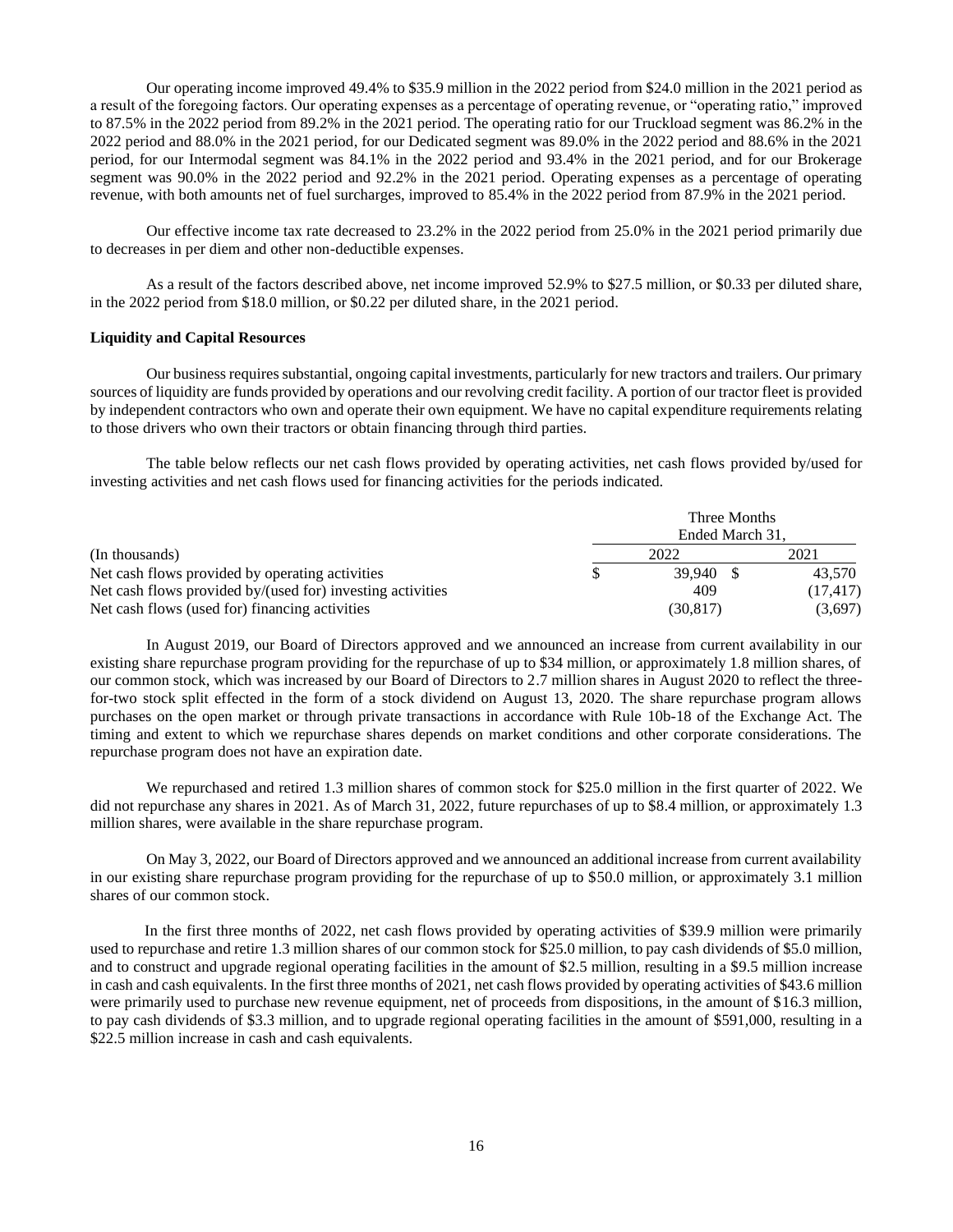Our operating income improved 49.4% to \$35.9 million in the 2022 period from \$24.0 million in the 2021 period as a result of the foregoing factors. Our operating expenses as a percentage of operating revenue, or "operating ratio," improved to 87.5% in the 2022 period from 89.2% in the 2021 period. The operating ratio for our Truckload segment was 86.2% in the 2022 period and 88.0% in the 2021 period, for our Dedicated segment was 89.0% in the 2022 period and 88.6% in the 2021 period, for our Intermodal segment was 84.1% in the 2022 period and 93.4% in the 2021 period, and for our Brokerage segment was 90.0% in the 2022 period and 92.2% in the 2021 period. Operating expenses as a percentage of operating revenue, with both amounts net of fuel surcharges, improved to 85.4% in the 2022 period from 87.9% in the 2021 period.

Our effective income tax rate decreased to 23.2% in the 2022 period from 25.0% in the 2021 period primarily due to decreases in per diem and other non-deductible expenses.

As a result of the factors described above, net income improved 52.9% to \$27.5 million, or \$0.33 per diluted share, in the 2022 period from \$18.0 million, or \$0.22 per diluted share, in the 2021 period.

#### **Liquidity and Capital Resources**

Our business requires substantial, ongoing capital investments, particularly for new tractors and trailers. Our primary sources of liquidity are funds provided by operations and our revolving credit facility. A portion of our tractor fleet is provided by independent contractors who own and operate their own equipment. We have no capital expenditure requirements relating to those drivers who own their tractors or obtain financing through third parties.

The table below reflects our net cash flows provided by operating activities, net cash flows provided by/used for investing activities and net cash flows used for financing activities for the periods indicated.

|                                                            |                 | Three Months |           |  |  |  |  |
|------------------------------------------------------------|-----------------|--------------|-----------|--|--|--|--|
|                                                            | Ended March 31. |              |           |  |  |  |  |
| (In thousands)                                             |                 | 2022         | 2021      |  |  |  |  |
| Net cash flows provided by operating activities            |                 | 39.940 S     | 43.570    |  |  |  |  |
| Net cash flows provided by/(used for) investing activities |                 | 409          | (17, 417) |  |  |  |  |
| Net cash flows (used for) financing activities             |                 | (30,817)     | (3,697)   |  |  |  |  |

In August 2019, our Board of Directors approved and we announced an increase from current availability in our existing share repurchase program providing for the repurchase of up to \$34 million, or approximately 1.8 million shares, of our common stock, which was increased by our Board of Directors to 2.7 million shares in August 2020 to reflect the threefor-two stock split effected in the form of a stock dividend on August 13, 2020. The share repurchase program allows purchases on the open market or through private transactions in accordance with Rule 10b-18 of the Exchange Act. The timing and extent to which we repurchase shares depends on market conditions and other corporate considerations. The repurchase program does not have an expiration date.

We repurchased and retired 1.3 million shares of common stock for \$25.0 million in the first quarter of 2022. We did not repurchase any shares in 2021. As of March 31, 2022, future repurchases of up to \$8.4 million, or approximately 1.3 million shares, were available in the share repurchase program.

On May 3, 2022, our Board of Directors approved and we announced an additional increase from current availability in our existing share repurchase program providing for the repurchase of up to \$50.0 million, or approximately 3.1 million shares of our common stock.

 In the first three months of 2022, net cash flows provided by operating activities of \$39.9 million were primarily used to repurchase and retire 1.3 million shares of our common stock for \$25.0 million, to pay cash dividends of \$5.0 million, and to construct and upgrade regional operating facilities in the amount of \$2.5 million, resulting in a \$9.5 million increase in cash and cash equivalents. In the first three months of 2021, net cash flows provided by operating activities of \$43.6 million were primarily used to purchase new revenue equipment, net of proceeds from dispositions, in the amount of \$16.3 million, to pay cash dividends of \$3.3 million, and to upgrade regional operating facilities in the amount of \$591,000, resulting in a \$22.5 million increase in cash and cash equivalents.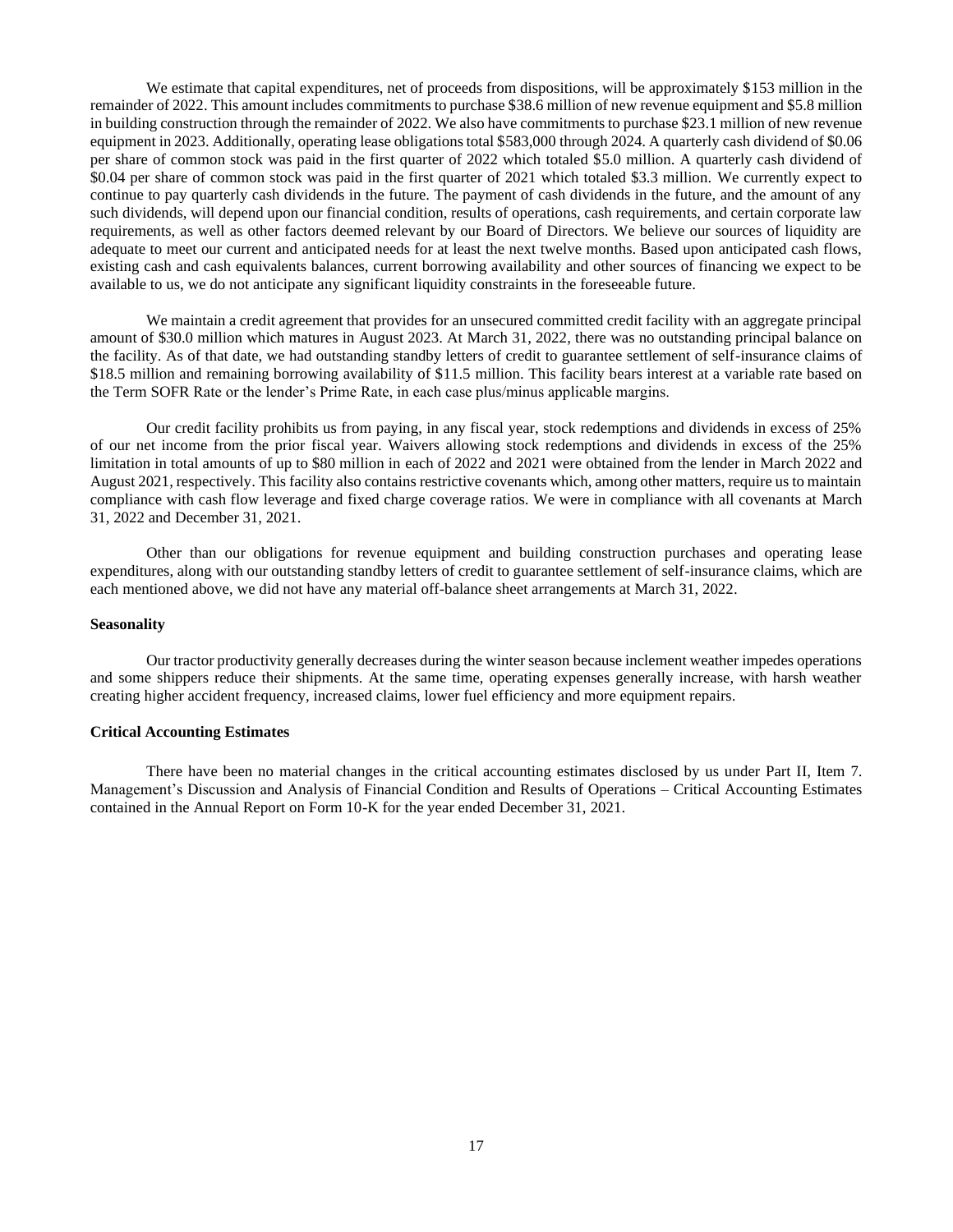We estimate that capital expenditures, net of proceeds from dispositions, will be approximately \$153 million in the remainder of 2022. This amount includes commitments to purchase \$38.6 million of new revenue equipment and \$5.8 million in building construction through the remainder of 2022. We also have commitments to purchase \$23.1 million of new revenue equipment in 2023. Additionally, operating lease obligations total \$583,000 through 2024. A quarterly cash dividend of \$0.06 per share of common stock was paid in the first quarter of 2022 which totaled \$5.0 million. A quarterly cash dividend of \$0.04 per share of common stock was paid in the first quarter of 2021 which totaled \$3.3 million. We currently expect to continue to pay quarterly cash dividends in the future. The payment of cash dividends in the future, and the amount of any such dividends, will depend upon our financial condition, results of operations, cash requirements, and certain corporate law requirements, as well as other factors deemed relevant by our Board of Directors. We believe our sources of liquidity are adequate to meet our current and anticipated needs for at least the next twelve months. Based upon anticipated cash flows, existing cash and cash equivalents balances, current borrowing availability and other sources of financing we expect to be available to us, we do not anticipate any significant liquidity constraints in the foreseeable future.

We maintain a credit agreement that provides for an unsecured committed credit facility with an aggregate principal amount of \$30.0 million which matures in August 2023. At March 31, 2022, there was no outstanding principal balance on the facility. As of that date, we had outstanding standby letters of credit to guarantee settlement of self-insurance claims of \$18.5 million and remaining borrowing availability of \$11.5 million. This facility bears interest at a variable rate based on the Term SOFR Rate or the lender's Prime Rate, in each case plus/minus applicable margins.

Our credit facility prohibits us from paying, in any fiscal year, stock redemptions and dividends in excess of 25% of our net income from the prior fiscal year. Waivers allowing stock redemptions and dividends in excess of the 25% limitation in total amounts of up to \$80 million in each of 2022 and 2021 were obtained from the lender in March 2022 and August 2021, respectively. This facility also contains restrictive covenants which, among other matters, require us to maintain compliance with cash flow leverage and fixed charge coverage ratios. We were in compliance with all covenants at March 31, 2022 and December 31, 2021.

Other than our obligations for revenue equipment and building construction purchases and operating lease expenditures, along with our outstanding standby letters of credit to guarantee settlement of self-insurance claims, which are each mentioned above, we did not have any material off-balance sheet arrangements at March 31, 2022.

# **Seasonality**

Our tractor productivity generally decreases during the winter season because inclement weather impedes operations and some shippers reduce their shipments. At the same time, operating expenses generally increase, with harsh weather creating higher accident frequency, increased claims, lower fuel efficiency and more equipment repairs.

#### **Critical Accounting Estimates**

There have been no material changes in the critical accounting estimates disclosed by us under Part II, Item 7. Management's Discussion and Analysis of Financial Condition and Results of Operations – Critical Accounting Estimates contained in the Annual Report on Form 10-K for the year ended December 31, 2021.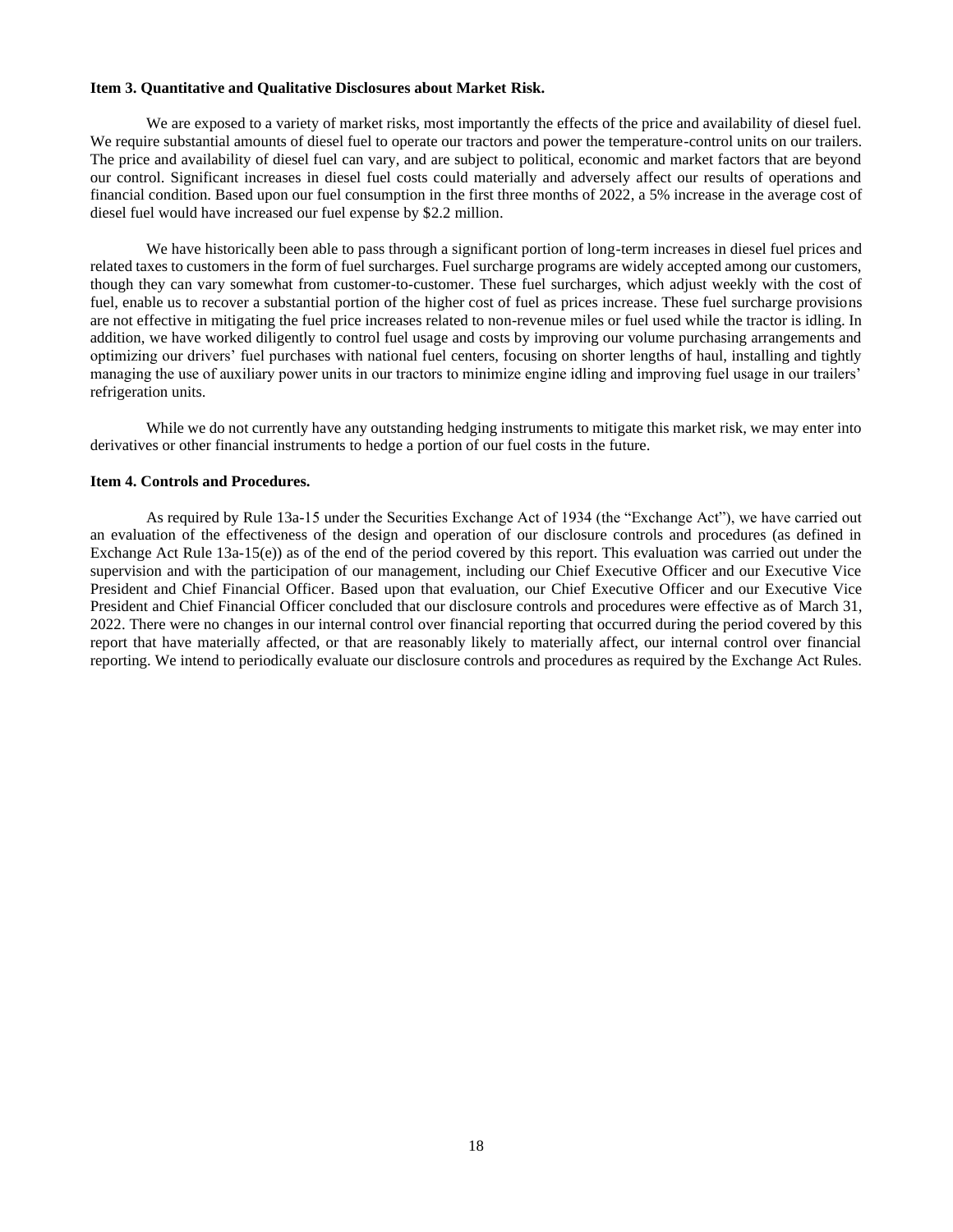# **Item 3. Quantitative and Qualitative Disclosures about Market Risk.**

We are exposed to a variety of market risks, most importantly the effects of the price and availability of diesel fuel. We require substantial amounts of diesel fuel to operate our tractors and power the temperature-control units on our trailers. The price and availability of diesel fuel can vary, and are subject to political, economic and market factors that are beyond our control. Significant increases in diesel fuel costs could materially and adversely affect our results of operations and financial condition. Based upon our fuel consumption in the first three months of 2022, a 5% increase in the average cost of diesel fuel would have increased our fuel expense by \$2.2 million.

We have historically been able to pass through a significant portion of long-term increases in diesel fuel prices and related taxes to customers in the form of fuel surcharges. Fuel surcharge programs are widely accepted among our customers, though they can vary somewhat from customer-to-customer. These fuel surcharges, which adjust weekly with the cost of fuel, enable us to recover a substantial portion of the higher cost of fuel as prices increase. These fuel surcharge provisions are not effective in mitigating the fuel price increases related to non-revenue miles or fuel used while the tractor is idling. In addition, we have worked diligently to control fuel usage and costs by improving our volume purchasing arrangements and optimizing our drivers' fuel purchases with national fuel centers, focusing on shorter lengths of haul, installing and tightly managing the use of auxiliary power units in our tractors to minimize engine idling and improving fuel usage in our trailers' refrigeration units.

While we do not currently have any outstanding hedging instruments to mitigate this market risk, we may enter into derivatives or other financial instruments to hedge a portion of our fuel costs in the future.

### **Item 4. Controls and Procedures.**

As required by Rule 13a-15 under the Securities Exchange Act of 1934 (the "Exchange Act"), we have carried out an evaluation of the effectiveness of the design and operation of our disclosure controls and procedures (as defined in Exchange Act Rule 13a-15(e)) as of the end of the period covered by this report. This evaluation was carried out under the supervision and with the participation of our management, including our Chief Executive Officer and our Executive Vice President and Chief Financial Officer. Based upon that evaluation, our Chief Executive Officer and our Executive Vice President and Chief Financial Officer concluded that our disclosure controls and procedures were effective as of March 31, 2022. There were no changes in our internal control over financial reporting that occurred during the period covered by this report that have materially affected, or that are reasonably likely to materially affect, our internal control over financial reporting. We intend to periodically evaluate our disclosure controls and procedures as required by the Exchange Act Rules.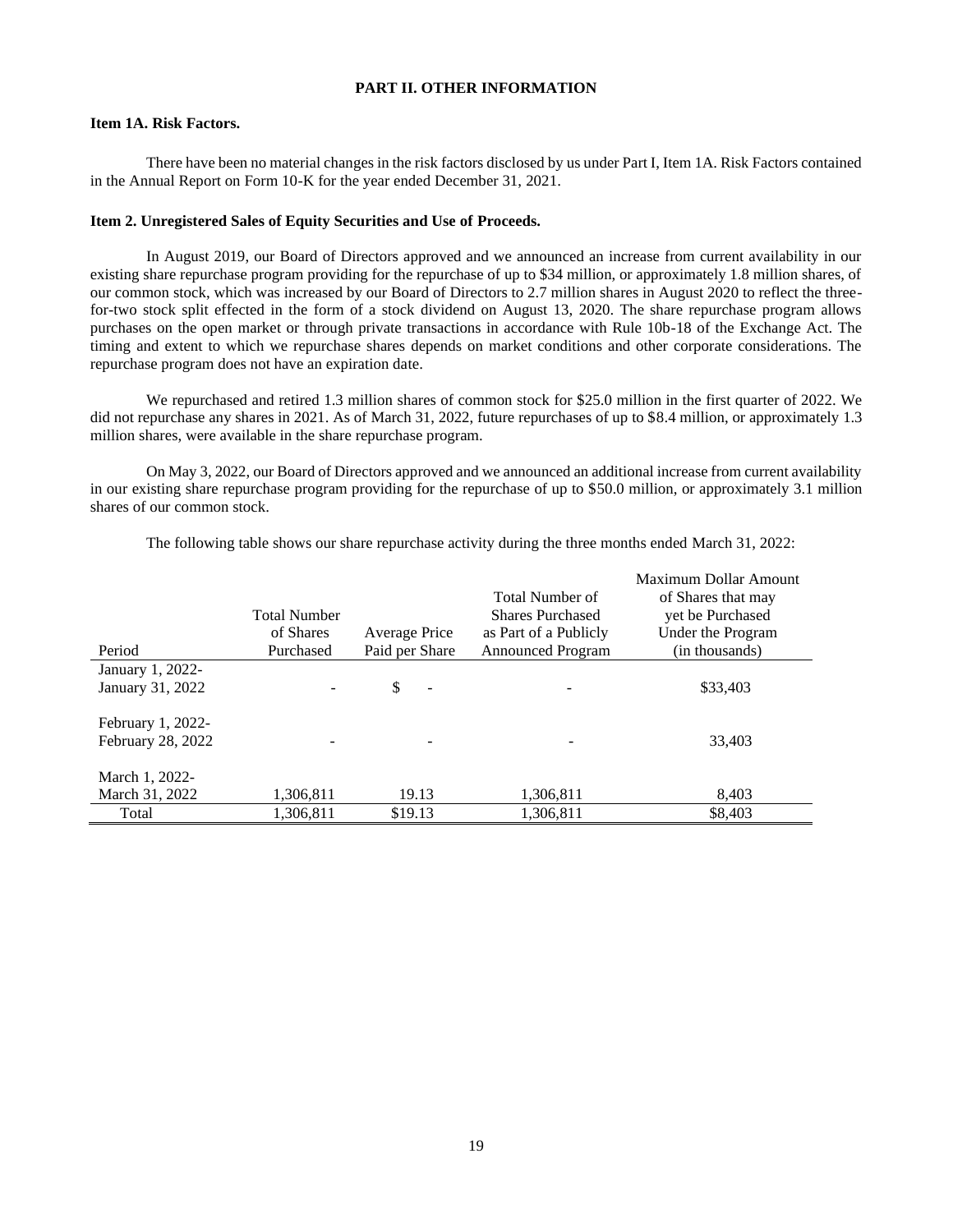# **PART II. OTHER INFORMATION**

# **Item 1A. Risk Factors.**

There have been no material changes in the risk factors disclosed by us under Part I, Item 1A. Risk Factors contained in the Annual Report on Form 10-K for the year ended December 31, 2021.

## **Item 2. Unregistered Sales of Equity Securities and Use of Proceeds.**

In August 2019, our Board of Directors approved and we announced an increase from current availability in our existing share repurchase program providing for the repurchase of up to \$34 million, or approximately 1.8 million shares, of our common stock, which was increased by our Board of Directors to 2.7 million shares in August 2020 to reflect the threefor-two stock split effected in the form of a stock dividend on August 13, 2020. The share repurchase program allows purchases on the open market or through private transactions in accordance with Rule 10b-18 of the Exchange Act. The timing and extent to which we repurchase shares depends on market conditions and other corporate considerations. The repurchase program does not have an expiration date.

We repurchased and retired 1.3 million shares of common stock for \$25.0 million in the first quarter of 2022. We did not repurchase any shares in 2021. As of March 31, 2022, future repurchases of up to \$8.4 million, or approximately 1.3 million shares, were available in the share repurchase program.

On May 3, 2022, our Board of Directors approved and we announced an additional increase from current availability in our existing share repurchase program providing for the repurchase of up to \$50.0 million, or approximately 3.1 million shares of our common stock.

|                   |                     |                |                          | Maximum Dollar Amount |
|-------------------|---------------------|----------------|--------------------------|-----------------------|
|                   |                     |                | Total Number of          | of Shares that may    |
|                   | <b>Total Number</b> |                | <b>Shares Purchased</b>  | yet be Purchased      |
|                   | of Shares           | Average Price  | as Part of a Publicly    | Under the Program     |
| Period            | Purchased           | Paid per Share | <b>Announced Program</b> | (in thousands)        |
| January 1, 2022-  |                     |                |                          |                       |
| January 31, 2022  |                     | \$             |                          | \$33,403              |
|                   |                     |                |                          |                       |
| February 1, 2022- |                     |                |                          |                       |
| February 28, 2022 |                     |                |                          | 33,403                |
|                   |                     |                |                          |                       |
| March 1, 2022-    |                     |                |                          |                       |
| March 31, 2022    | 1,306,811           | 19.13          | 1,306,811                | 8,403                 |
| Total             | 1.306.811           | \$19.13        | 1,306,811                | \$8,403               |

The following table shows our share repurchase activity during the three months ended March 31, 2022: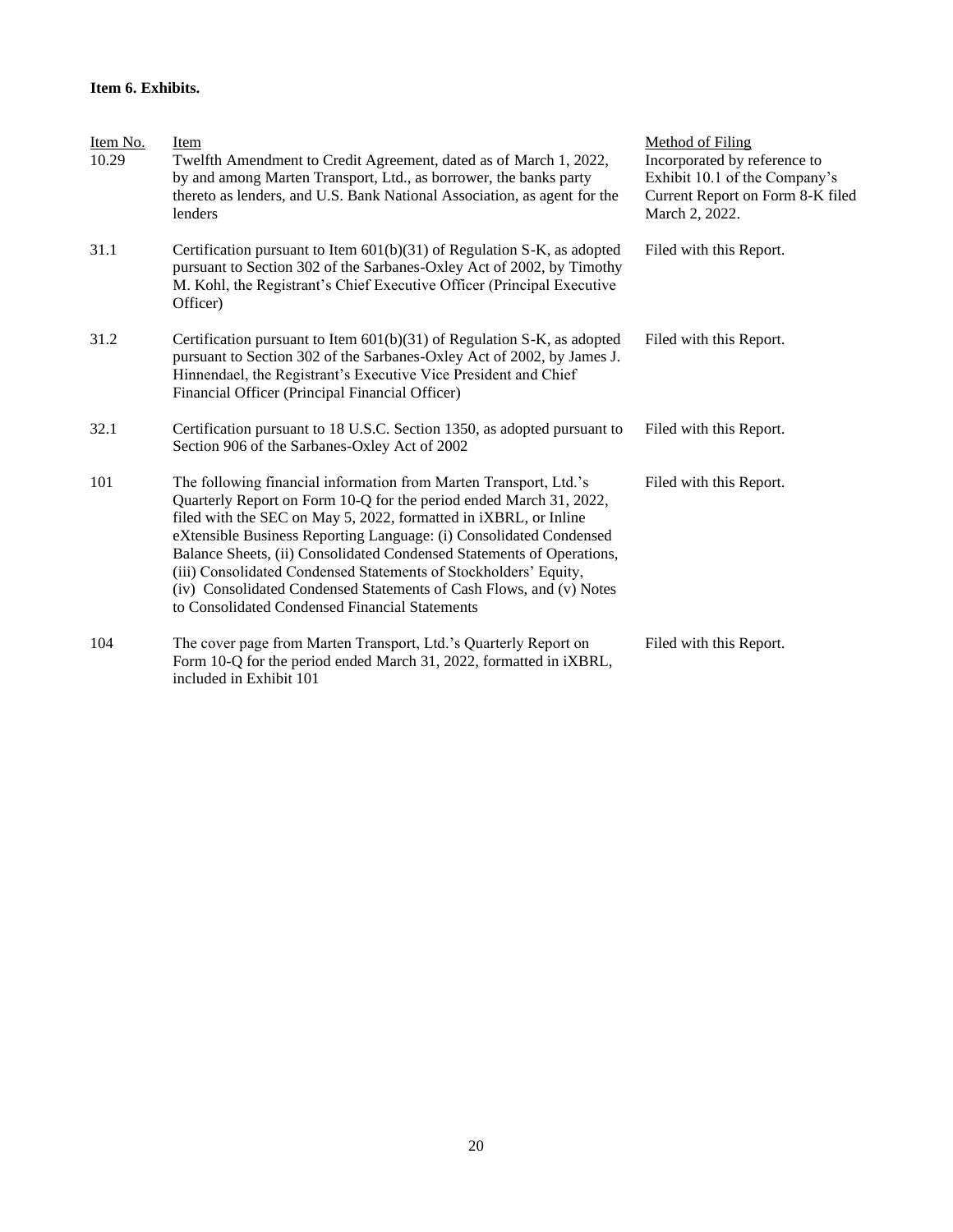# **Item 6. Exhibits.**

| Item No.<br>10.29 | Item<br>Twelfth Amendment to Credit Agreement, dated as of March 1, 2022,<br>by and among Marten Transport, Ltd., as borrower, the banks party<br>thereto as lenders, and U.S. Bank National Association, as agent for the<br>lenders                                                                                                                                                                                                                                                                                                                   | Method of Filing<br>Incorporated by reference to<br>Exhibit 10.1 of the Company's<br>Current Report on Form 8-K filed<br>March 2, 2022. |
|-------------------|---------------------------------------------------------------------------------------------------------------------------------------------------------------------------------------------------------------------------------------------------------------------------------------------------------------------------------------------------------------------------------------------------------------------------------------------------------------------------------------------------------------------------------------------------------|-----------------------------------------------------------------------------------------------------------------------------------------|
| 31.1              | Certification pursuant to Item 601(b)(31) of Regulation S-K, as adopted<br>pursuant to Section 302 of the Sarbanes-Oxley Act of 2002, by Timothy<br>M. Kohl, the Registrant's Chief Executive Officer (Principal Executive<br>Officer)                                                                                                                                                                                                                                                                                                                  | Filed with this Report.                                                                                                                 |
| 31.2              | Certification pursuant to Item $601(b)(31)$ of Regulation S-K, as adopted<br>pursuant to Section 302 of the Sarbanes-Oxley Act of 2002, by James J.<br>Hinnendael, the Registrant's Executive Vice President and Chief<br>Financial Officer (Principal Financial Officer)                                                                                                                                                                                                                                                                               | Filed with this Report.                                                                                                                 |
| 32.1              | Certification pursuant to 18 U.S.C. Section 1350, as adopted pursuant to<br>Section 906 of the Sarbanes-Oxley Act of 2002                                                                                                                                                                                                                                                                                                                                                                                                                               | Filed with this Report.                                                                                                                 |
| 101               | The following financial information from Marten Transport, Ltd.'s<br>Quarterly Report on Form 10-Q for the period ended March 31, 2022,<br>filed with the SEC on May 5, 2022, formatted in iXBRL, or Inline<br>eXtensible Business Reporting Language: (i) Consolidated Condensed<br>Balance Sheets, (ii) Consolidated Condensed Statements of Operations,<br>(iii) Consolidated Condensed Statements of Stockholders' Equity,<br>(iv) Consolidated Condensed Statements of Cash Flows, and (v) Notes<br>to Consolidated Condensed Financial Statements | Filed with this Report.                                                                                                                 |
| 104               | The cover page from Marten Transport, Ltd.'s Quarterly Report on<br>Form 10-Q for the period ended March 31, 2022, formatted in iXBRL,<br>included in Exhibit 101                                                                                                                                                                                                                                                                                                                                                                                       | Filed with this Report.                                                                                                                 |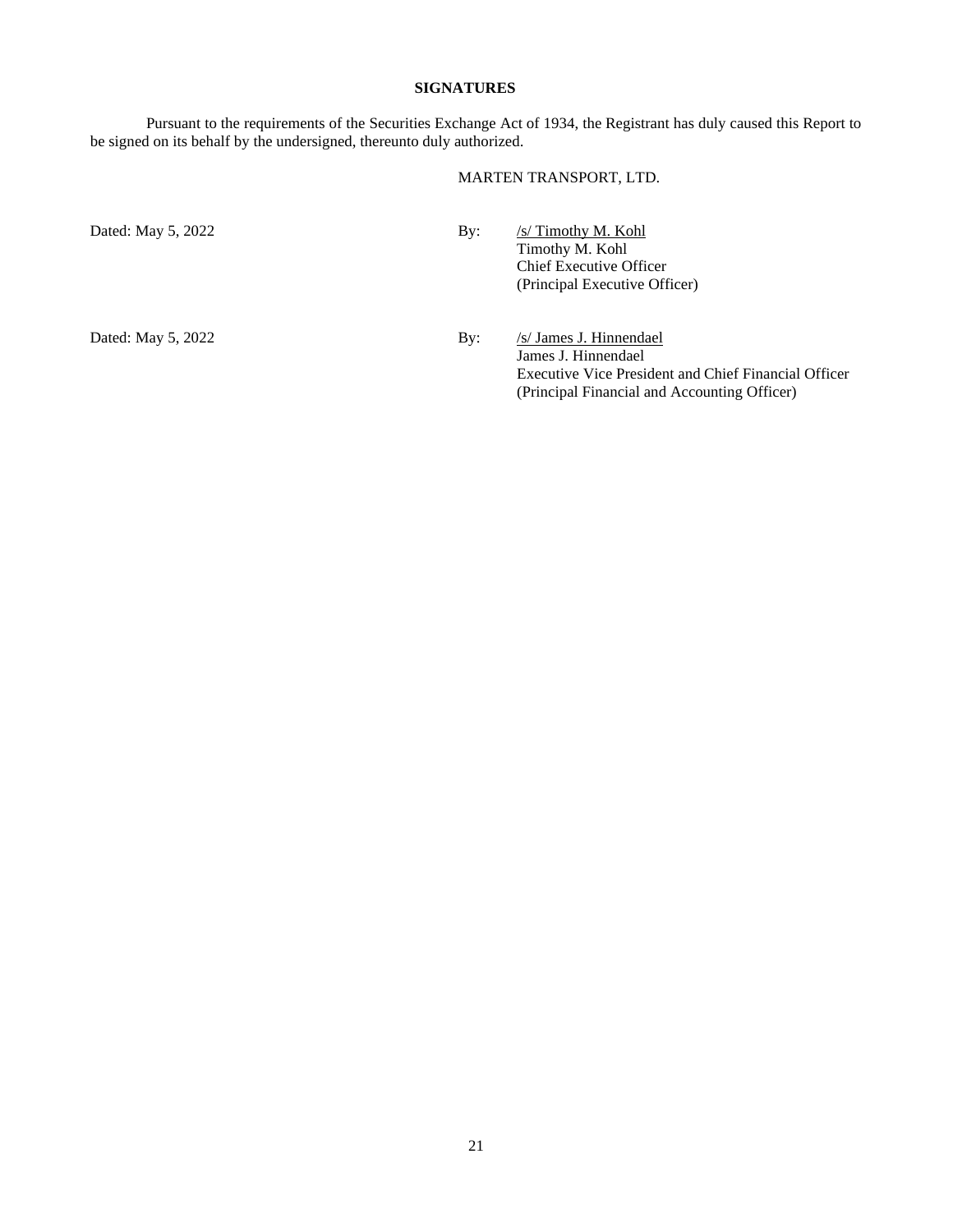# **SIGNATURES**

Pursuant to the requirements of the Securities Exchange Act of 1934, the Registrant has duly caused this Report to be signed on its behalf by the undersigned, thereunto duly authorized.

# MARTEN TRANSPORT, LTD.

Dated: May 5, 2022 By: /s/ Timothy M. Kohl Timothy M. Kohl Chief Executive Officer (Principal Executive Officer)

Dated: May 5, 2022 By: /s/ James J. Hinnendael James J. Hinnendael Executive Vice President and Chief Financial Officer (Principal Financial and Accounting Officer)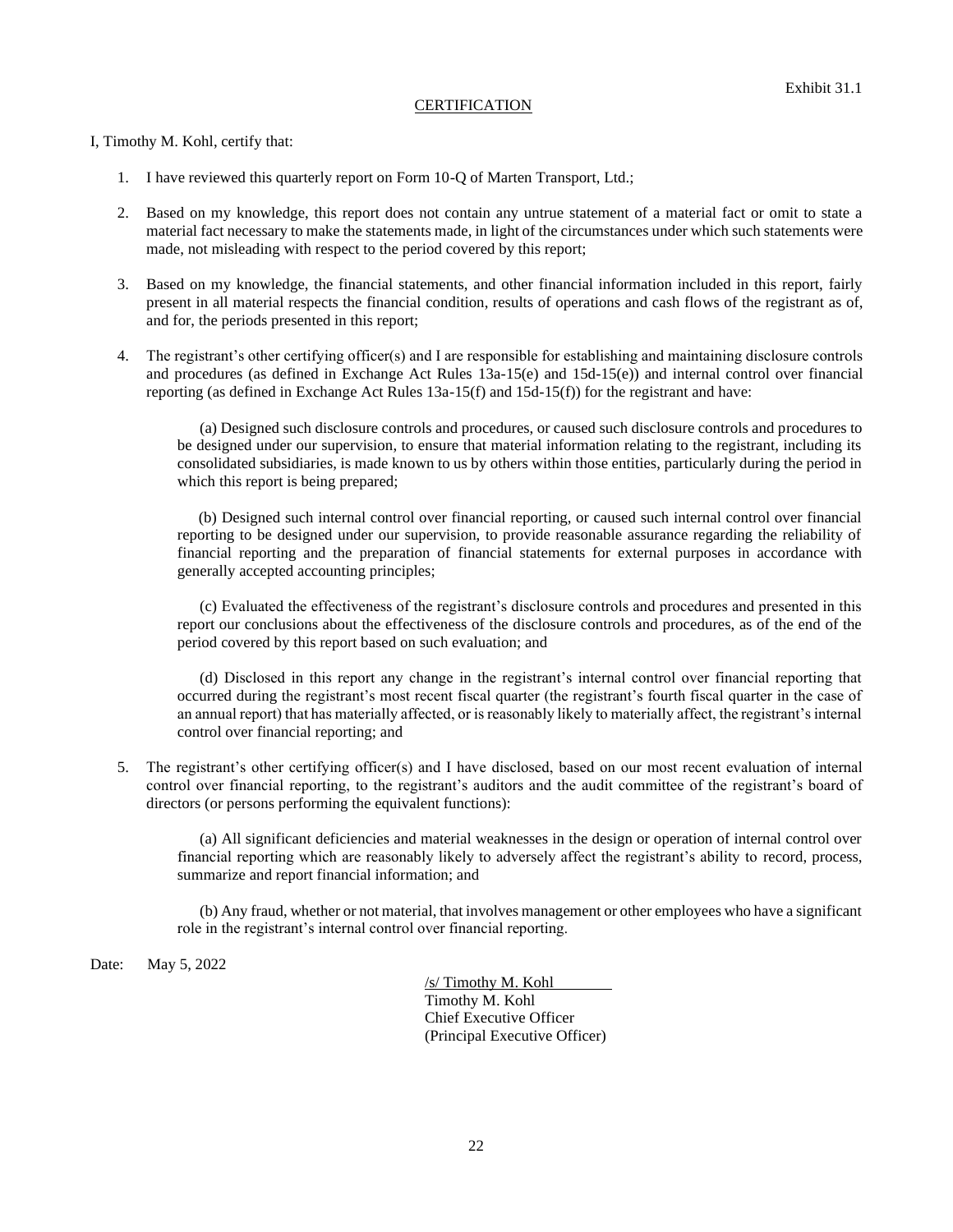## CERTIFICATION

### I, Timothy M. Kohl, certify that:

- 1. I have reviewed this quarterly report on Form 10-Q of Marten Transport, Ltd.;
- 2. Based on my knowledge, this report does not contain any untrue statement of a material fact or omit to state a material fact necessary to make the statements made, in light of the circumstances under which such statements were made, not misleading with respect to the period covered by this report;
- 3. Based on my knowledge, the financial statements, and other financial information included in this report, fairly present in all material respects the financial condition, results of operations and cash flows of the registrant as of, and for, the periods presented in this report;
- 4. The registrant's other certifying officer(s) and I are responsible for establishing and maintaining disclosure controls and procedures (as defined in Exchange Act Rules 13a-15(e) and 15d-15(e)) and internal control over financial reporting (as defined in Exchange Act Rules 13a-15(f) and 15d-15(f)) for the registrant and have:

(a) Designed such disclosure controls and procedures, or caused such disclosure controls and procedures to be designed under our supervision, to ensure that material information relating to the registrant, including its consolidated subsidiaries, is made known to us by others within those entities, particularly during the period in which this report is being prepared;

(b) Designed such internal control over financial reporting, or caused such internal control over financial reporting to be designed under our supervision, to provide reasonable assurance regarding the reliability of financial reporting and the preparation of financial statements for external purposes in accordance with generally accepted accounting principles;

(c) Evaluated the effectiveness of the registrant's disclosure controls and procedures and presented in this report our conclusions about the effectiveness of the disclosure controls and procedures, as of the end of the period covered by this report based on such evaluation; and

(d) Disclosed in this report any change in the registrant's internal control over financial reporting that occurred during the registrant's most recent fiscal quarter (the registrant's fourth fiscal quarter in the case of an annual report) that has materially affected, or is reasonably likely to materially affect, the registrant's internal control over financial reporting; and

5. The registrant's other certifying officer(s) and I have disclosed, based on our most recent evaluation of internal control over financial reporting, to the registrant's auditors and the audit committee of the registrant's board of directors (or persons performing the equivalent functions):

(a) All significant deficiencies and material weaknesses in the design or operation of internal control over financial reporting which are reasonably likely to adversely affect the registrant's ability to record, process, summarize and report financial information; and

(b) Any fraud, whether or not material, that involves management or other employees who have a significant role in the registrant's internal control over financial reporting.

Date: May 5, 2022

/s/ Timothy M. Kohl

Timothy M. Kohl Chief Executive Officer (Principal Executive Officer)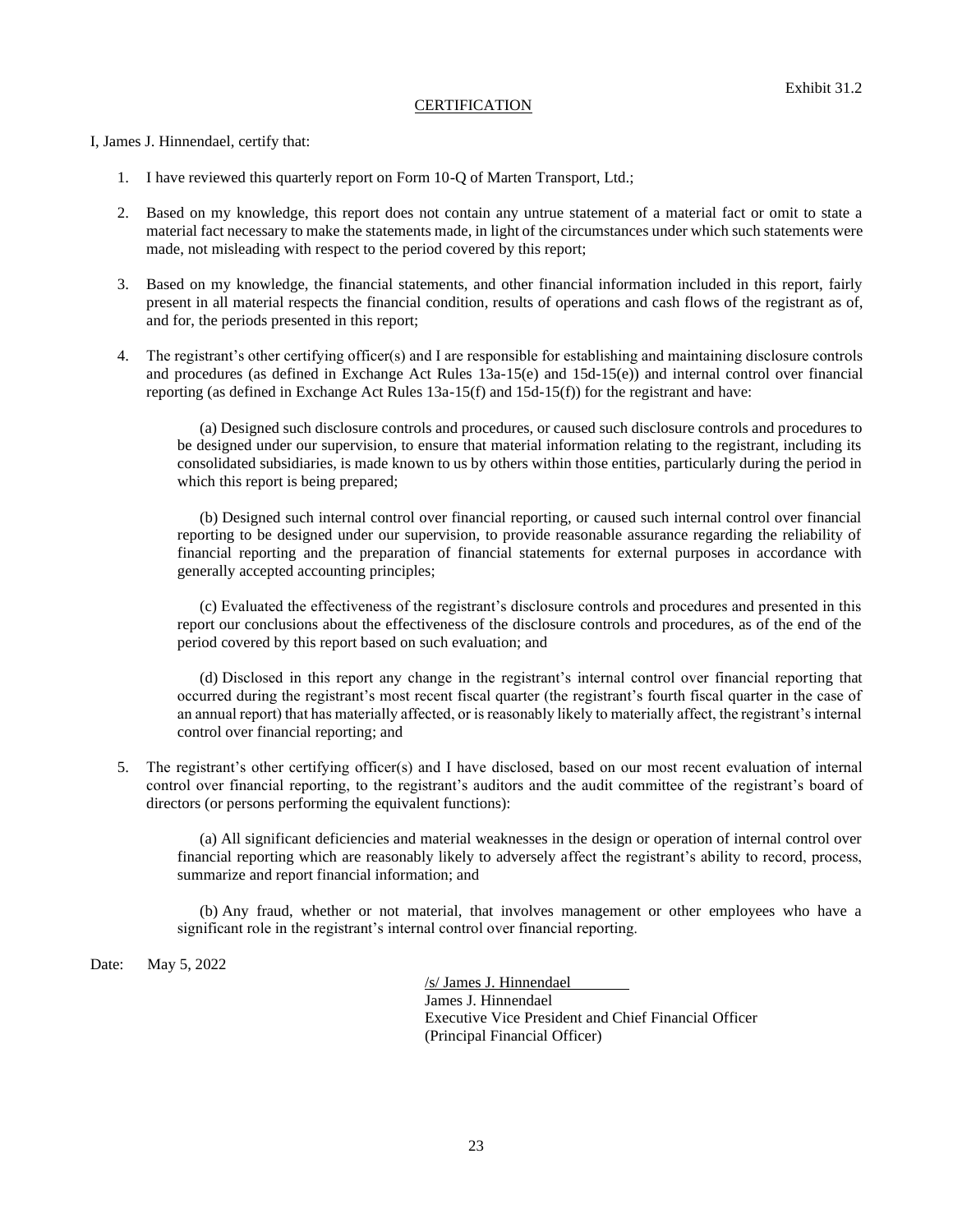## **CERTIFICATION**

# I, James J. Hinnendael, certify that:

- 1. I have reviewed this quarterly report on Form 10-Q of Marten Transport, Ltd.;
- 2. Based on my knowledge, this report does not contain any untrue statement of a material fact or omit to state a material fact necessary to make the statements made, in light of the circumstances under which such statements were made, not misleading with respect to the period covered by this report;
- 3. Based on my knowledge, the financial statements, and other financial information included in this report, fairly present in all material respects the financial condition, results of operations and cash flows of the registrant as of, and for, the periods presented in this report;
- 4. The registrant's other certifying officer(s) and I are responsible for establishing and maintaining disclosure controls and procedures (as defined in Exchange Act Rules 13a-15(e) and 15d-15(e)) and internal control over financial reporting (as defined in Exchange Act Rules 13a-15(f) and 15d-15(f)) for the registrant and have:

(a) Designed such disclosure controls and procedures, or caused such disclosure controls and procedures to be designed under our supervision, to ensure that material information relating to the registrant, including its consolidated subsidiaries, is made known to us by others within those entities, particularly during the period in which this report is being prepared;

(b) Designed such internal control over financial reporting, or caused such internal control over financial reporting to be designed under our supervision, to provide reasonable assurance regarding the reliability of financial reporting and the preparation of financial statements for external purposes in accordance with generally accepted accounting principles;

(c) Evaluated the effectiveness of the registrant's disclosure controls and procedures and presented in this report our conclusions about the effectiveness of the disclosure controls and procedures, as of the end of the period covered by this report based on such evaluation; and

(d) Disclosed in this report any change in the registrant's internal control over financial reporting that occurred during the registrant's most recent fiscal quarter (the registrant's fourth fiscal quarter in the case of an annual report) that has materially affected, or is reasonably likely to materially affect, the registrant's internal control over financial reporting; and

5. The registrant's other certifying officer(s) and I have disclosed, based on our most recent evaluation of internal control over financial reporting, to the registrant's auditors and the audit committee of the registrant's board of directors (or persons performing the equivalent functions):

(a) All significant deficiencies and material weaknesses in the design or operation of internal control over financial reporting which are reasonably likely to adversely affect the registrant's ability to record, process, summarize and report financial information; and

(b) Any fraud, whether or not material, that involves management or other employees who have a significant role in the registrant's internal control over financial reporting.

(Principal Financial Officer)

Date: May 5, 2022

/s/ James J. Hinnendael James J. Hinnendael Executive Vice President and Chief Financial Officer

23